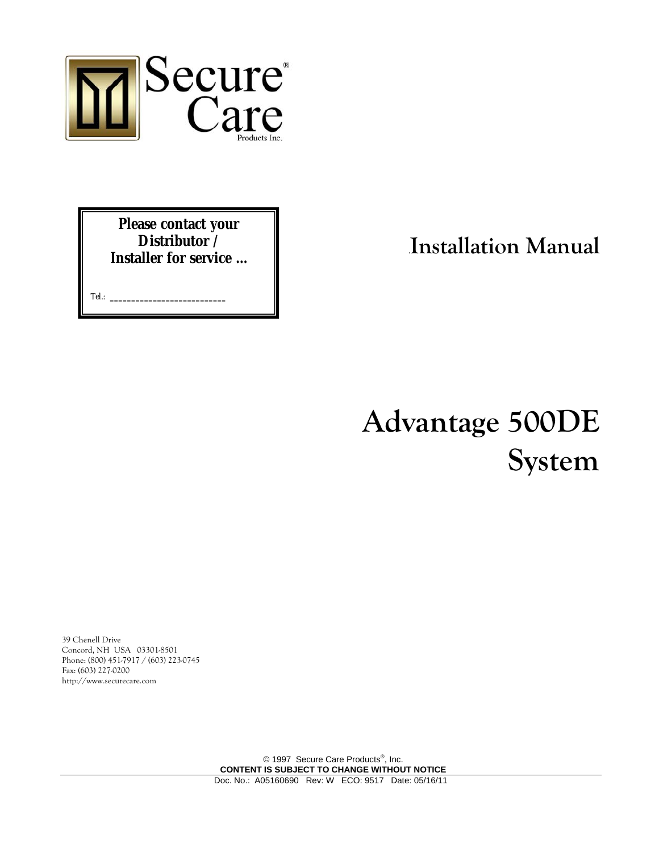

**Please contact your Distributor / Installer for service …** 

Tel.: **\_\_\_\_\_\_\_\_\_\_\_\_\_\_\_\_\_\_\_\_\_\_\_\_\_\_\_**

.**Installation Manual**

# **Advantage 500DE System**

39 Chenell Drive Concord, NH USA 03301-8501 Phone: (800) 451-7917 / (603) 223-0745 Fax: (603) 227-0200 http://www.securecare.com

> © 1997 Secure Care Products<sup>®</sup>, Inc. **CONTENT IS SUBJECT TO CHANGE WITHOUT NOTICE**  Doc. No.: A05160690 Rev: W ECO: 9517 Date: 05/16/11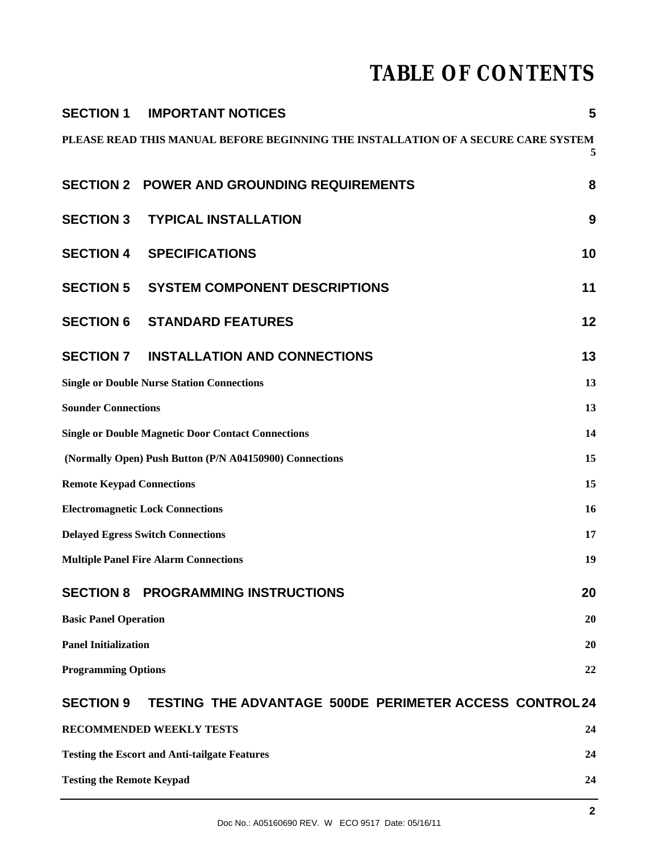## **TABLE OF CONTENTS**

| <b>SECTION 1</b>                                                                       | <b>IMPORTANT NOTICES</b>                                      | 5  |  |
|----------------------------------------------------------------------------------------|---------------------------------------------------------------|----|--|
| PLEASE READ THIS MANUAL BEFORE BEGINNING THE INSTALLATION OF A SECURE CARE SYSTEM<br>5 |                                                               |    |  |
|                                                                                        | <b>SECTION 2 POWER AND GROUNDING REQUIREMENTS</b>             | 8  |  |
| <b>SECTION 3</b>                                                                       | <b>TYPICAL INSTALLATION</b>                                   | 9  |  |
| <b>SECTION 4</b>                                                                       | <b>SPECIFICATIONS</b>                                         | 10 |  |
| <b>SECTION 5</b>                                                                       | <b>SYSTEM COMPONENT DESCRIPTIONS</b>                          | 11 |  |
| <b>SECTION 6</b>                                                                       | <b>STANDARD FEATURES</b>                                      | 12 |  |
| <b>SECTION 7</b>                                                                       | <b>INSTALLATION AND CONNECTIONS</b>                           | 13 |  |
| <b>Single or Double Nurse Station Connections</b><br>13                                |                                                               |    |  |
| <b>Sounder Connections</b><br>13                                                       |                                                               |    |  |
| <b>Single or Double Magnetic Door Contact Connections</b><br>14                        |                                                               |    |  |
| (Normally Open) Push Button (P/N A04150900) Connections<br>15                          |                                                               |    |  |
| <b>Remote Keypad Connections</b><br>15                                                 |                                                               |    |  |
| <b>Electromagnetic Lock Connections</b><br>16                                          |                                                               |    |  |
| <b>Delayed Egress Switch Connections</b><br>17                                         |                                                               |    |  |
| <b>Multiple Panel Fire Alarm Connections</b><br>19                                     |                                                               |    |  |
| <b>SECTION 8</b>                                                                       | <b>PROGRAMMING INSTRUCTIONS</b>                               | 20 |  |
| <b>Basic Panel Operation</b><br>20                                                     |                                                               |    |  |
| <b>Panel Initialization</b><br><b>20</b>                                               |                                                               |    |  |
| <b>Programming Options</b><br>22                                                       |                                                               |    |  |
| <b>SECTION 9</b>                                                                       | <b>TESTING THE ADVANTAGE 500DE PERIMETER ACCESS CONTROL24</b> |    |  |
|                                                                                        | RECOMMENDED WEEKLY TESTS                                      | 24 |  |
| <b>Testing the Escort and Anti-tailgate Features</b><br>24                             |                                                               |    |  |
| <b>Testing the Remote Keypad</b><br>24                                                 |                                                               |    |  |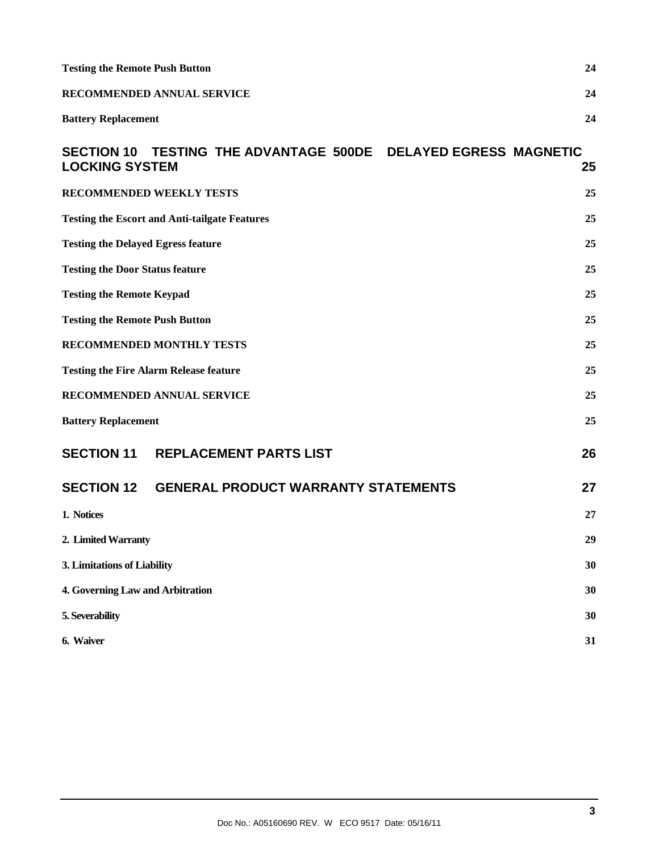| <b>Testing the Remote Push Button</b>                |                                                     |    | 24 |
|------------------------------------------------------|-----------------------------------------------------|----|----|
|                                                      | RECOMMENDED ANNUAL SERVICE<br>24                    |    |    |
| <b>Battery Replacement</b>                           |                                                     |    | 24 |
| <b>SECTION 10</b><br><b>LOCKING SYSTEM</b>           | TESTING THE ADVANTAGE 500DE DELAYED EGRESS MAGNETIC |    | 25 |
| RECOMMENDED WEEKLY TESTS                             |                                                     |    | 25 |
| <b>Testing the Escort and Anti-tailgate Features</b> |                                                     |    | 25 |
| <b>Testing the Delayed Egress feature</b><br>25      |                                                     |    |    |
| <b>Testing the Door Status feature</b>               |                                                     |    | 25 |
| <b>Testing the Remote Keypad</b>                     |                                                     |    | 25 |
| <b>Testing the Remote Push Button</b>                |                                                     |    | 25 |
| <b>RECOMMENDED MONTHLY TESTS</b>                     |                                                     |    | 25 |
| <b>Testing the Fire Alarm Release feature</b>        |                                                     |    | 25 |
| RECOMMENDED ANNUAL SERVICE                           |                                                     |    | 25 |
| <b>Battery Replacement</b>                           |                                                     |    | 25 |
| <b>SECTION 11</b>                                    | <b>REPLACEMENT PARTS LIST</b>                       |    | 26 |
|                                                      | SECTION 12 GENERAL PRODUCT WARRANTY STATEMENTS      |    | 27 |
| 1. Notices                                           |                                                     |    | 27 |
| 2. Limited Warranty                                  |                                                     | 29 |    |
| 3. Limitations of Liability                          |                                                     | 30 |    |
| 4. Governing Law and Arbitration                     |                                                     |    | 30 |
| 5. Severability                                      |                                                     |    | 30 |
| 6. Waiver                                            |                                                     |    | 31 |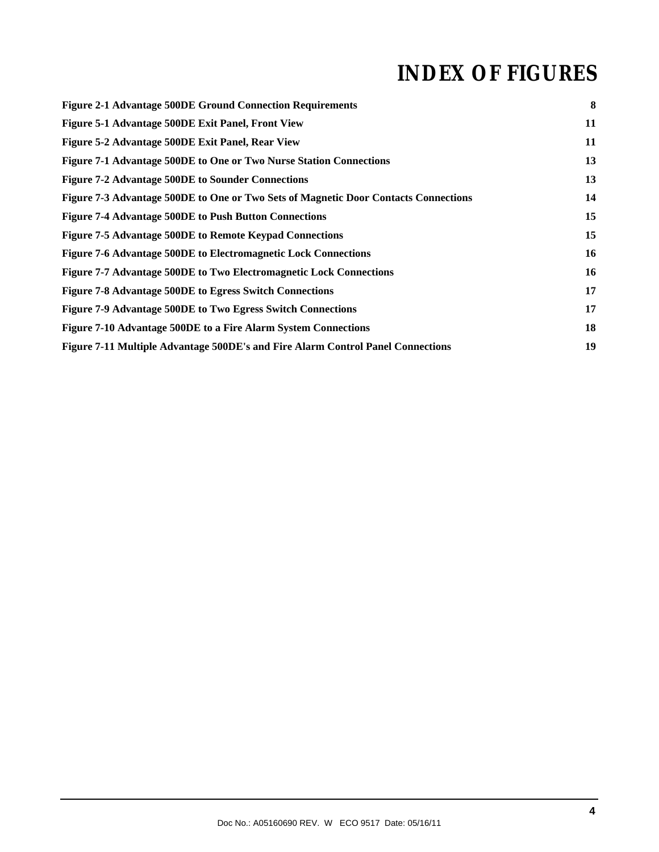## **INDEX OF FIGURES**

| <b>Figure 2-1 Advantage 500DE Ground Connection Requirements</b>                    | 8  |
|-------------------------------------------------------------------------------------|----|
| Figure 5-1 Advantage 500DE Exit Panel, Front View                                   | 11 |
| Figure 5-2 Advantage 500DE Exit Panel, Rear View                                    | 11 |
| Figure 7-1 Advantage 500DE to One or Two Nurse Station Connections                  | 13 |
| <b>Figure 7-2 Advantage 500DE to Sounder Connections</b>                            | 13 |
| Figure 7-3 Advantage 500DE to One or Two Sets of Magnetic Door Contacts Connections | 14 |
| <b>Figure 7-4 Advantage 500DE to Push Button Connections</b>                        | 15 |
| Figure 7-5 Advantage 500DE to Remote Keypad Connections                             | 15 |
| Figure 7-6 Advantage 500DE to Electromagnetic Lock Connections                      | 16 |
| Figure 7-7 Advantage 500DE to Two Electromagnetic Lock Connections                  | 16 |
| <b>Figure 7-8 Advantage 500DE to Egress Switch Connections</b>                      | 17 |
| Figure 7-9 Advantage 500DE to Two Egress Switch Connections                         | 17 |
| Figure 7-10 Advantage 500DE to a Fire Alarm System Connections                      | 18 |
| Figure 7-11 Multiple Advantage 500DE's and Fire Alarm Control Panel Connections     | 19 |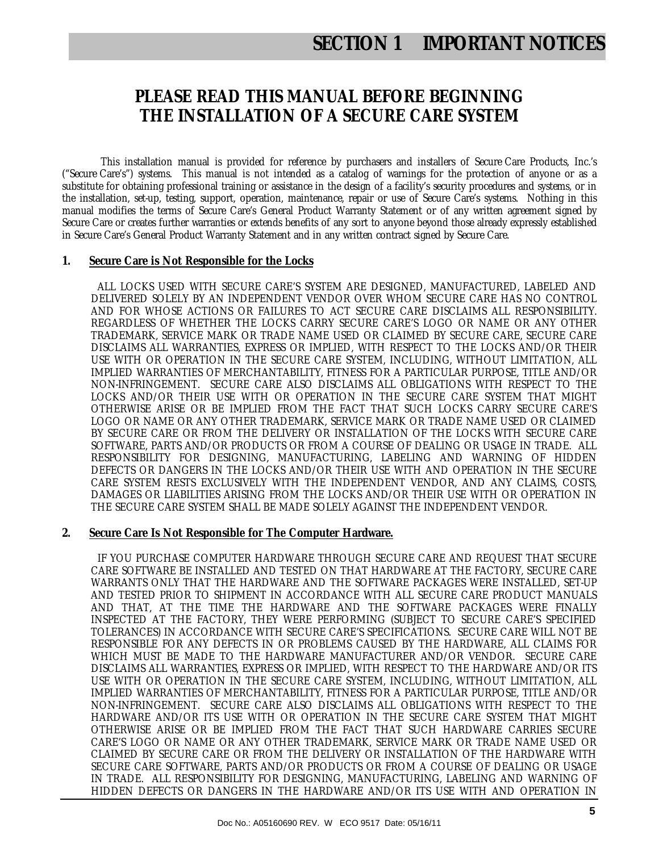## **SECTION 1 IMPORTANT NOTICES**

#### **PLEASE READ THIS MANUAL BEFORE BEGINNING THE INSTALLATION OF A SECURE CARE SYSTEM**

This installation manual is provided for reference by purchasers and installers of Secure Care Products, Inc.'s ("Secure Care's") systems. This manual is not intended as a catalog of warnings for the protection of anyone or as a substitute for obtaining professional training or assistance in the design of a facility's security procedures and systems, or in the installation, set-up, testing, support, operation, maintenance, repair or use of Secure Care's systems. Nothing in this manual modifies the terms of Secure Care's General Product Warranty Statement or of any written agreement signed by Secure Care or creates further warranties or extends benefits of any sort to anyone beyond those already expressly established in Secure Care's General Product Warranty Statement and in any written contract signed by Secure Care.

#### **1. Secure Care is Not Responsible for the Locks**

 ALL LOCKS USED WITH SECURE CARE'S SYSTEM ARE DESIGNED, MANUFACTURED, LABELED AND DELIVERED SOLELY BY AN INDEPENDENT VENDOR OVER WHOM SECURE CARE HAS NO CONTROL AND FOR WHOSE ACTIONS OR FAILURES TO ACT SECURE CARE DISCLAIMS ALL RESPONSIBILITY. REGARDLESS OF WHETHER THE LOCKS CARRY SECURE CARE'S LOGO OR NAME OR ANY OTHER TRADEMARK, SERVICE MARK OR TRADE NAME USED OR CLAIMED BY SECURE CARE, SECURE CARE DISCLAIMS ALL WARRANTIES, EXPRESS OR IMPLIED, WITH RESPECT TO THE LOCKS AND/OR THEIR USE WITH OR OPERATION IN THE SECURE CARE SYSTEM, INCLUDING, WITHOUT LIMITATION, ALL IMPLIED WARRANTIES OF MERCHANTABILITY, FITNESS FOR A PARTICULAR PURPOSE, TITLE AND/OR NON-INFRINGEMENT. SECURE CARE ALSO DISCLAIMS ALL OBLIGATIONS WITH RESPECT TO THE LOCKS AND/OR THEIR USE WITH OR OPERATION IN THE SECURE CARE SYSTEM THAT MIGHT OTHERWISE ARISE OR BE IMPLIED FROM THE FACT THAT SUCH LOCKS CARRY SECURE CARE'S LOGO OR NAME OR ANY OTHER TRADEMARK, SERVICE MARK OR TRADE NAME USED OR CLAIMED BY SECURE CARE OR FROM THE DELIVERY OR INSTALLATION OF THE LOCKS WITH SECURE CARE SOFTWARE, PARTS AND/OR PRODUCTS OR FROM A COURSE OF DEALING OR USAGE IN TRADE. ALL RESPONSIBILITY FOR DESIGNING, MANUFACTURING, LABELING AND WARNING OF HIDDEN DEFECTS OR DANGERS IN THE LOCKS AND/OR THEIR USE WITH AND OPERATION IN THE SECURE CARE SYSTEM RESTS EXCLUSIVELY WITH THE INDEPENDENT VENDOR, AND ANY CLAIMS, COSTS, DAMAGES OR LIABILITIES ARISING FROM THE LOCKS AND/OR THEIR USE WITH OR OPERATION IN THE SECURE CARE SYSTEM SHALL BE MADE SOLELY AGAINST THE INDEPENDENT VENDOR.

#### **2. Secure Care Is Not Responsible for The Computer Hardware.**

 IF YOU PURCHASE COMPUTER HARDWARE THROUGH SECURE CARE AND REQUEST THAT SECURE CARE SOFTWARE BE INSTALLED AND TESTED ON THAT HARDWARE AT THE FACTORY, SECURE CARE WARRANTS ONLY THAT THE HARDWARE AND THE SOFTWARE PACKAGES WERE INSTALLED, SET-UP AND TESTED PRIOR TO SHIPMENT IN ACCORDANCE WITH ALL SECURE CARE PRODUCT MANUALS AND THAT, AT THE TIME THE HARDWARE AND THE SOFTWARE PACKAGES WERE FINALLY INSPECTED AT THE FACTORY, THEY WERE PERFORMING (SUBJECT TO SECURE CARE'S SPECIFIED TOLERANCES) IN ACCORDANCE WITH SECURE CARE'S SPECIFICATIONS. SECURE CARE WILL NOT BE RESPONSIBLE FOR ANY DEFECTS IN OR PROBLEMS CAUSED BY THE HARDWARE, ALL CLAIMS FOR WHICH MUST BE MADE TO THE HARDWARE MANUFACTURER AND/OR VENDOR. SECURE CARE DISCLAIMS ALL WARRANTIES, EXPRESS OR IMPLIED, WITH RESPECT TO THE HARDWARE AND/OR ITS USE WITH OR OPERATION IN THE SECURE CARE SYSTEM, INCLUDING, WITHOUT LIMITATION, ALL IMPLIED WARRANTIES OF MERCHANTABILITY, FITNESS FOR A PARTICULAR PURPOSE, TITLE AND/OR NON-INFRINGEMENT. SECURE CARE ALSO DISCLAIMS ALL OBLIGATIONS WITH RESPECT TO THE HARDWARE AND/OR ITS USE WITH OR OPERATION IN THE SECURE CARE SYSTEM THAT MIGHT OTHERWISE ARISE OR BE IMPLIED FROM THE FACT THAT SUCH HARDWARE CARRIES SECURE CARE'S LOGO OR NAME OR ANY OTHER TRADEMARK, SERVICE MARK OR TRADE NAME USED OR CLAIMED BY SECURE CARE OR FROM THE DELIVERY OR INSTALLATION OF THE HARDWARE WITH SECURE CARE SOFTWARE, PARTS AND/OR PRODUCTS OR FROM A COURSE OF DEALING OR USAGE IN TRADE. ALL RESPONSIBILITY FOR DESIGNING, MANUFACTURING, LABELING AND WARNING OF HIDDEN DEFECTS OR DANGERS IN THE HARDWARE AND/OR ITS USE WITH AND OPERATION IN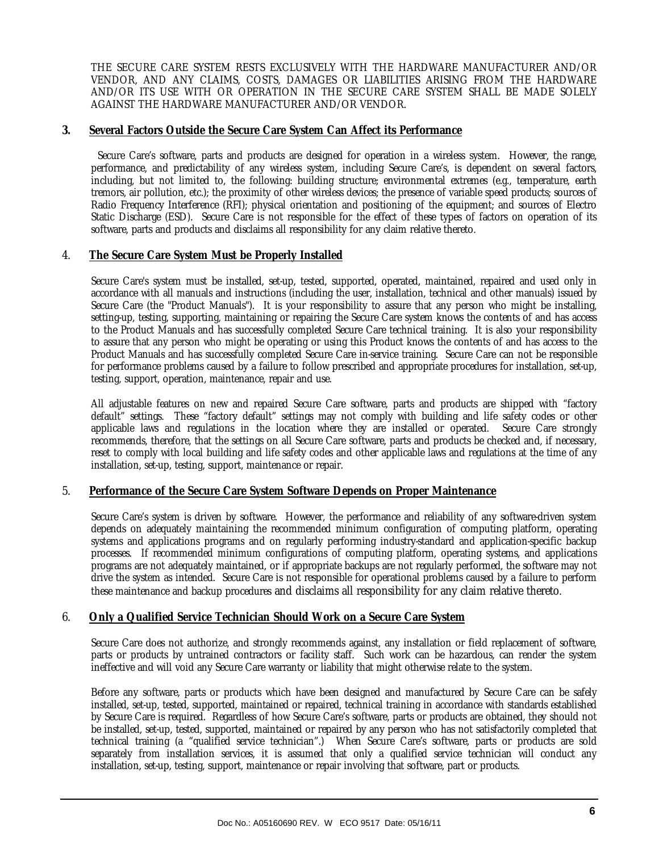THE SECURE CARE SYSTEM RESTS EXCLUSIVELY WITH THE HARDWARE MANUFACTURER AND/OR VENDOR, AND ANY CLAIMS, COSTS, DAMAGES OR LIABILITIES ARISING FROM THE HARDWARE AND/OR ITS USE WITH OR OPERATION IN THE SECURE CARE SYSTEM SHALL BE MADE SOLELY AGAINST THE HARDWARE MANUFACTURER AND/OR VENDOR.

#### **3. Several Factors Outside the Secure Care System Can Affect its Performance**

 Secure Care's software, parts and products are designed for operation in a wireless system. However, the range, performance, and predictability of any wireless system, including Secure Care's, is dependent on several factors, including, but not limited to, the following: building structure; environmental extremes (e.g., temperature, earth tremors, air pollution, etc.); the proximity of other wireless devices; the presence of variable speed products; sources of Radio Frequency Interference (RFI); physical orientation and positioning of the equipment; and sources of Electro Static Discharge (ESD). Secure Care is not responsible for the effect of these types of factors on operation of its software, parts and products and disclaims all responsibility for any claim relative thereto.

#### 4. **The Secure Care System Must be Properly Installed**

Secure Care's system must be installed, set-up, tested, supported, operated, maintained, repaired and used only in accordance with all manuals and instructions (including the user, installation, technical and other manuals) issued by Secure Care (the "Product Manuals"). It is your responsibility to assure that any person who might be installing, setting-up, testing, supporting, maintaining or repairing the Secure Care system knows the contents of and has access to the Product Manuals and has successfully completed Secure Care technical training. It is also your responsibility to assure that any person who might be operating or using this Product knows the contents of and has access to the Product Manuals and has successfully completed Secure Care in-service training. Secure Care can not be responsible for performance problems caused by a failure to follow prescribed and appropriate procedures for installation, set-up, testing, support, operation, maintenance, repair and use.

All adjustable features on new and repaired Secure Care software, parts and products are shipped with "factory default" settings. These "factory default" settings may not comply with building and life safety codes or other applicable laws and regulations in the location where they are installed or operated. Secure Care strongly recommends, therefore, that the settings on all Secure Care software, parts and products be checked and, if necessary, reset to comply with local building and life safety codes and other applicable laws and regulations at the time of any installation, set-up, testing, support, maintenance or repair.

#### 5. **Performance of the Secure Care System Software Depends on Proper Maintenance**

Secure Care's system is driven by software. However, the performance and reliability of any software-driven system depends on adequately maintaining the recommended minimum configuration of computing platform, operating systems and applications programs and on regularly performing industry-standard and application-specific backup processes. If recommended minimum configurations of computing platform, operating systems, and applications programs are not adequately maintained, or if appropriate backups are not regularly performed, the software may not drive the system as intended. Secure Care is not responsible for operational problems caused by a failure to perform these maintenance and backup procedures and disclaims all responsibility for any claim relative thereto.

#### 6. **Only a Qualified Service Technician Should Work on a Secure Care System**

Secure Care does not authorize, and strongly recommends against, any installation or field replacement of software, parts or products by untrained contractors or facility staff. Such work can be hazardous, can render the system ineffective and will void any Secure Care warranty or liability that might otherwise relate to the system.

Before any software, parts or products which have been designed and manufactured by Secure Care can be safely installed, set-up, tested, supported, maintained or repaired, technical training in accordance with standards established by Secure Care is required. Regardless of how Secure Care's software, parts or products are obtained, they should not be installed, set-up, tested, supported, maintained or repaired by any person who has not satisfactorily completed that technical training (a "qualified service technician".) When Secure Care's software, parts or products are sold separately from installation services, it is assumed that only a qualified service technician will conduct any installation, set-up, testing, support, maintenance or repair involving that software, part or products.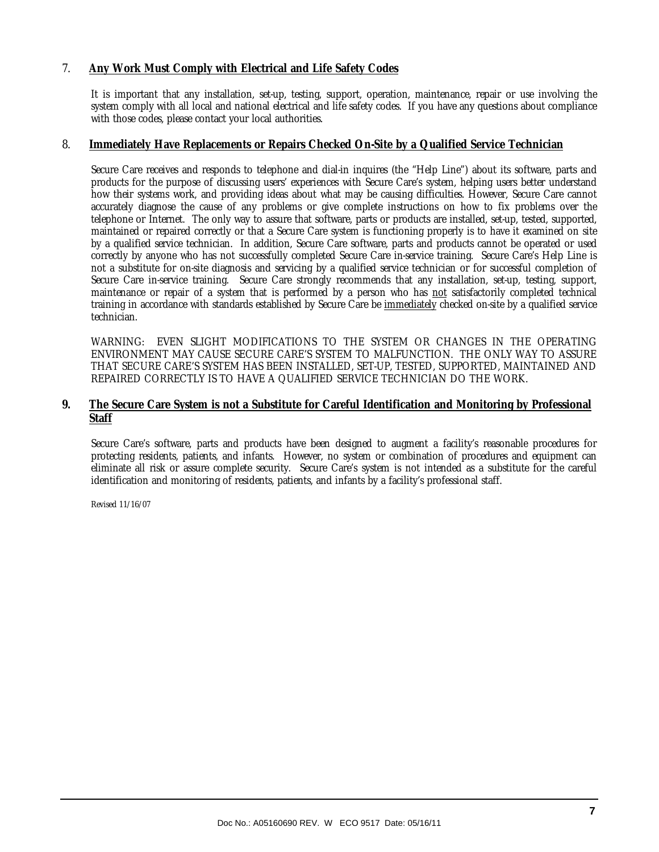#### 7. **Any Work Must Comply with Electrical and Life Safety Codes**

It is important that any installation, set-up, testing, support, operation, maintenance, repair or use involving the system comply with all local and national electrical and life safety codes. If you have any questions about compliance with those codes, please contact your local authorities.

#### 8. **Immediately Have Replacements or Repairs Checked On-Site by a Qualified Service Technician**

Secure Care receives and responds to telephone and dial-in inquires (the "Help Line") about its software, parts and products for the purpose of discussing users' experiences with Secure Care's system, helping users better understand how their systems work, and providing ideas about what may be causing difficulties. However, Secure Care cannot accurately diagnose the cause of any problems or give complete instructions on how to fix problems over the telephone or Internet. The only way to assure that software, parts or products are installed, set-up, tested, supported, maintained or repaired correctly or that a Secure Care system is functioning properly is to have it examined on site by a qualified service technician. In addition, Secure Care software, parts and products cannot be operated or used correctly by anyone who has not successfully completed Secure Care in-service training. Secure Care's Help Line is not a substitute for on-site diagnosis and servicing by a qualified service technician or for successful completion of Secure Care in-service training. Secure Care strongly recommends that any installation, set-up, testing, support, maintenance or repair of a system that is performed by a person who has not satisfactorily completed technical training in accordance with standards established by Secure Care be immediately checked on-site by a qualified service technician.

WARNING: EVEN SLIGHT MODIFICATIONS TO THE SYSTEM OR CHANGES IN THE OPERATING ENVIRONMENT MAY CAUSE SECURE CARE'S SYSTEM TO MALFUNCTION. THE ONLY WAY TO ASSURE THAT SECURE CARE'S SYSTEM HAS BEEN INSTALLED, SET-UP, TESTED, SUPPORTED, MAINTAINED AND REPAIRED CORRECTLY IS TO HAVE A QUALIFIED SERVICE TECHNICIAN DO THE WORK.

#### **9. The Secure Care System is not a Substitute for Careful Identification and Monitoring by Professional Staff**

Secure Care's software, parts and products have been designed to augment a facility's reasonable procedures for protecting residents, patients, and infants. However, no system or combination of procedures and equipment can eliminate all risk or assure complete security. Secure Care's system is not intended as a substitute for the careful identification and monitoring of residents, patients, and infants by a facility's professional staff.

Revised 11/16/07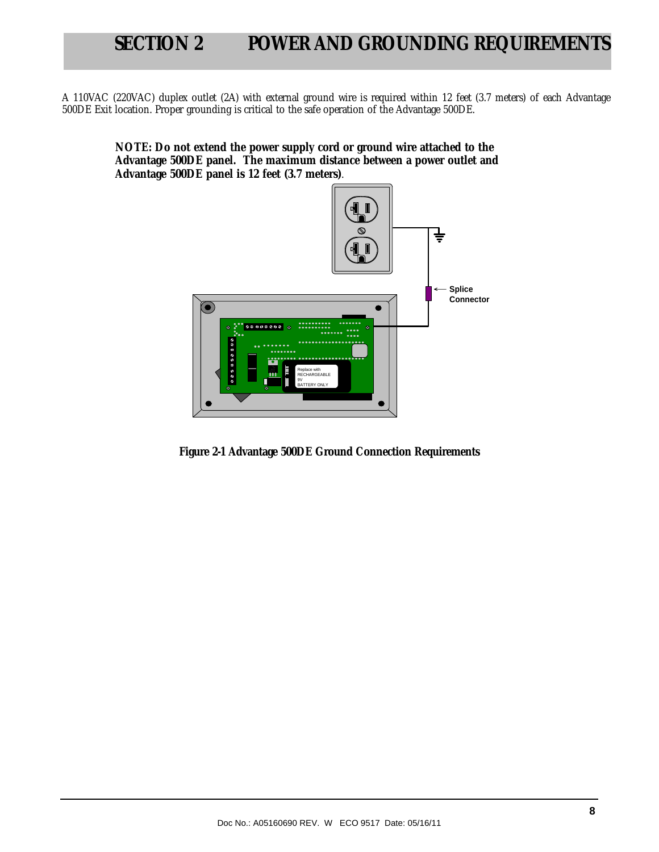## **SECTION 2 POWER AND GROUNDING REQUIREMENTS**

A 110VAC (220VAC) duplex outlet (2A) with external ground wire is required within 12 feet (3.7 meters) of each Advantage 500DE Exit location. Proper grounding is critical to the safe operation of the Advantage 500DE.

**NOTE: Do not extend the power supply cord or ground wire attached to the Advantage 500DE panel. The maximum distance between a power outlet and Advantage 500DE panel is 12 feet (3.7 meters)**.



**Figure 2-1 Advantage 500DE Ground Connection Requirements**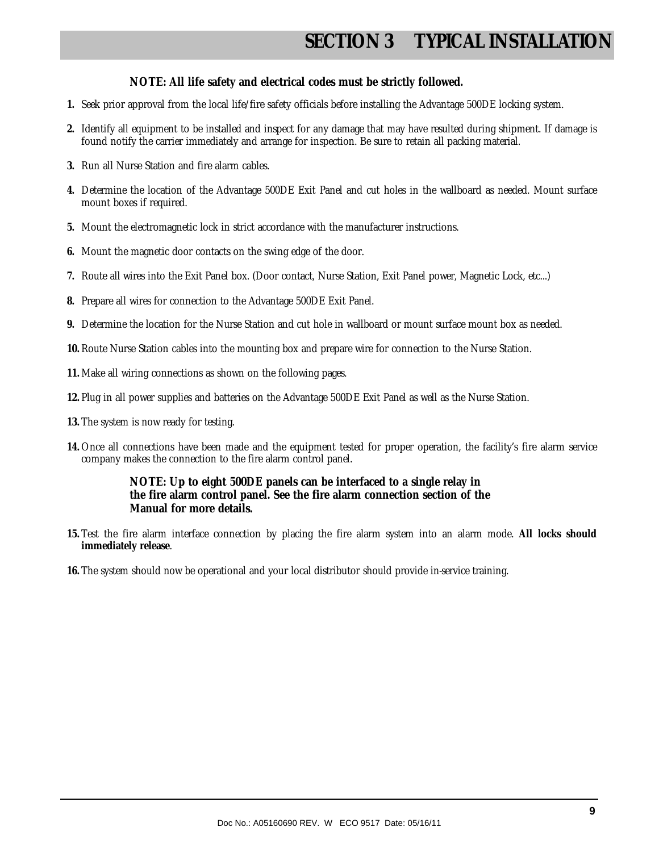## **SECTION 3 TYPICAL INSTALLATION**

#### **NOTE: All life safety and electrical codes must be strictly followed.**

- **1.** Seek prior approval from the local life/fire safety officials before installing the Advantage 500DE locking system.
- **2.** Identify all equipment to be installed and inspect for any damage that may have resulted during shipment. If damage is found notify the carrier immediately and arrange for inspection. Be sure to retain all packing material.
- **3.** Run all Nurse Station and fire alarm cables.
- **4.** Determine the location of the Advantage 500DE Exit Panel and cut holes in the wallboard as needed. Mount surface mount boxes if required.
- **5.** Mount the electromagnetic lock in strict accordance with the manufacturer instructions.
- **6.** Mount the magnetic door contacts on the swing edge of the door.
- **7.** Route all wires into the Exit Panel box. (Door contact, Nurse Station, Exit Panel power, Magnetic Lock, etc...)
- **8.** Prepare all wires for connection to the Advantage 500DE Exit Panel.
- **9.** Determine the location for the Nurse Station and cut hole in wallboard or mount surface mount box as needed.
- **10.** Route Nurse Station cables into the mounting box and prepare wire for connection to the Nurse Station.
- **11.** Make all wiring connections as shown on the following pages.
- **12.** Plug in all power supplies and batteries on the Advantage 500DE Exit Panel as well as the Nurse Station.
- **13.** The system is now ready for testing.
- **14.** Once all connections have been made and the equipment tested for proper operation, the facility's fire alarm service company makes the connection to the fire alarm control panel.

#### **NOTE: Up to eight 500DE panels can be interfaced to a single relay in the fire alarm control panel. See the fire alarm connection section of the Manual for more details.**

- **15.** Test the fire alarm interface connection by placing the fire alarm system into an alarm mode. **All locks should immediately release**.
- **16.** The system should now be operational and your local distributor should provide in-service training.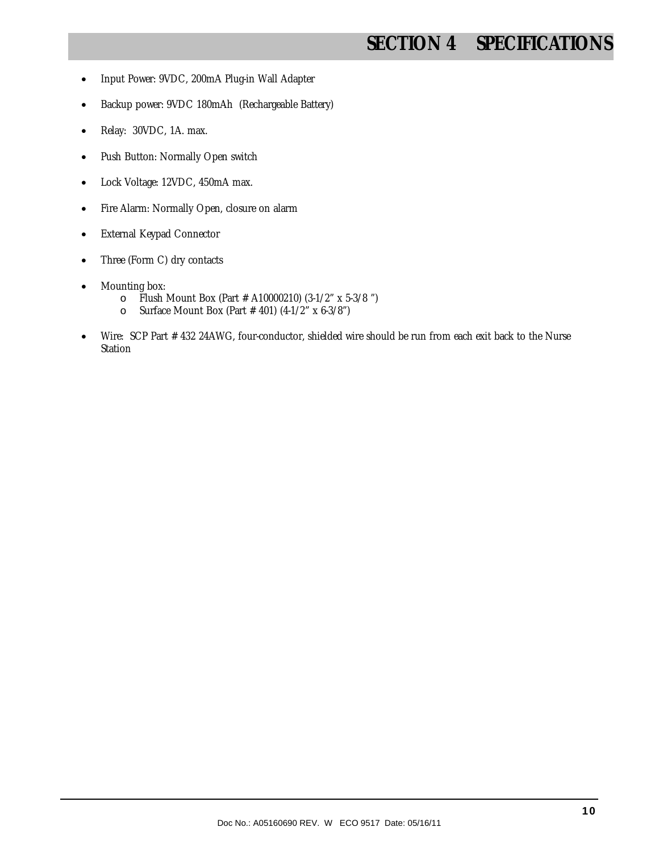## **SECTION 4 SPECIFICATIONS**

- Input Power: 9VDC, 200mA Plug-in Wall Adapter
- Backup power: 9VDC 180mAh (Rechargeable Battery)
- Relay: 30VDC, 1A. max.
- Push Button: Normally Open switch
- Lock Voltage: 12VDC, 450mA max.
- Fire Alarm: Normally Open, closure on alarm
- External Keypad Connector
- Three (Form C) dry contacts
- Mounting box:
	- o Flush Mount Box (Part # A10000210) (3-1/2" x 5-3/8 ")
	- o Surface Mount Box (Part # 401) (4-1/2" x 6-3/8")
- Wire:SCP Part # 432 24AWG, four-conductor, shielded wire should be run from each exit back to the Nurse Station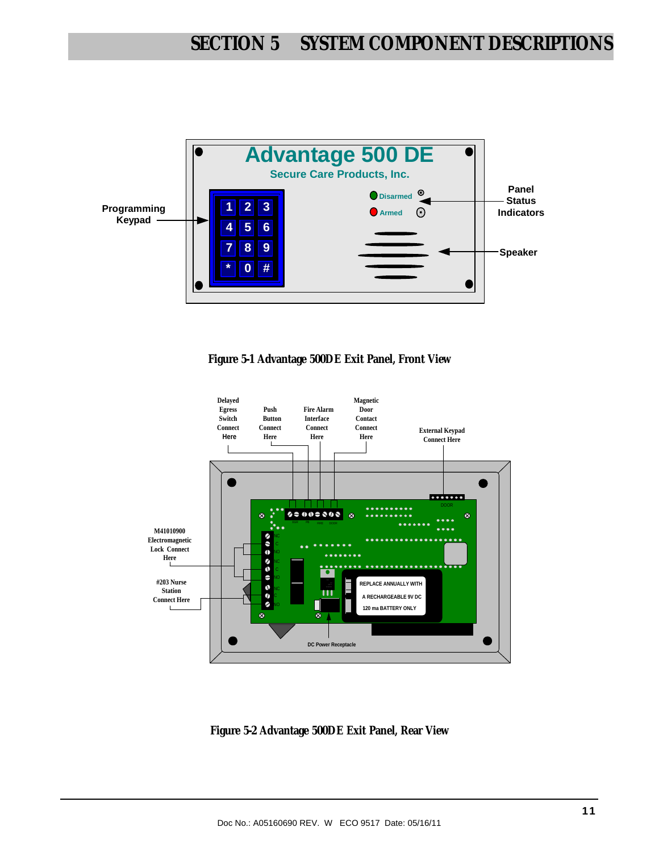

**Figure 5-1 Advantage 500DE Exit Panel, Front View** 



**Figure 5-2 Advantage 500DE Exit Panel, Rear View**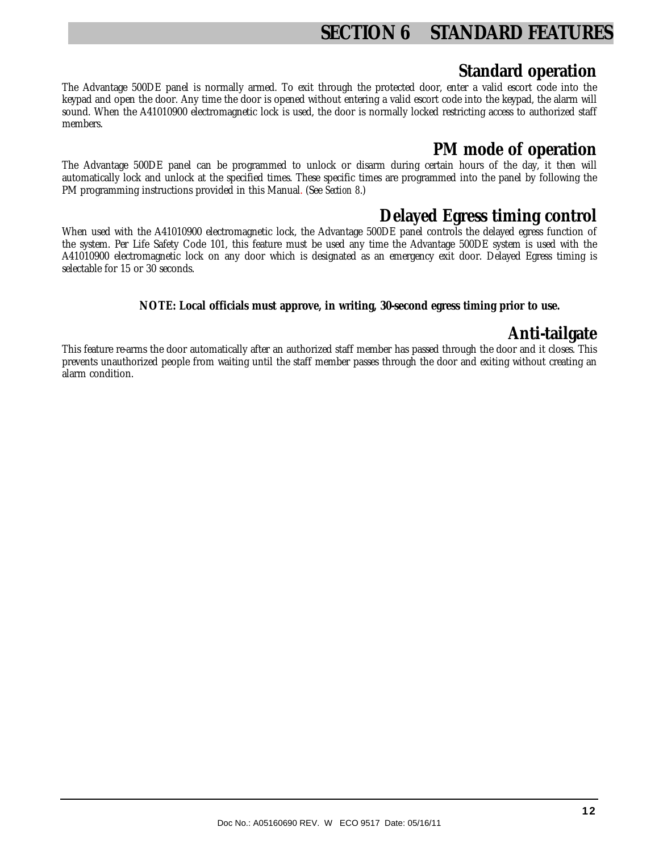## **SECTION 6 STANDARD FEATURES**

#### **Standard operation**

The Advantage 500DE panel is normally armed. To exit through the protected door, enter a valid escort code into the keypad and open the door. Any time the door is opened without entering a valid escort code into the keypad, the alarm will sound. When the A41010900 electromagnetic lock is used, the door is normally locked restricting access to authorized staff members.

#### **PM mode of operation**

The Advantage 500DE panel can be programmed to unlock or disarm during certain hours of the day, it then will automatically lock and unlock at the specified times. These specific times are programmed into the panel by following the PM programming instructions provided in this Manual. (See *Section 8*.)

#### **Delayed Egress timing control**

When used with the A41010900 electromagnetic lock, the Advantage 500DE panel controls the delayed egress function of the system. Per Life Safety Code 101, this feature must be used any time the Advantage 500DE system is used with the A41010900 electromagnetic lock on any door which is designated as an emergency exit door. Delayed Egress timing is selectable for 15 or 30 seconds.

#### **NOTE: Local officials must approve, in writing, 30-second egress timing prior to use.**

#### **Anti-tailgate**

This feature re-arms the door automatically after an authorized staff member has passed through the door and it closes. This prevents unauthorized people from waiting until the staff member passes through the door and exiting without creating an alarm condition.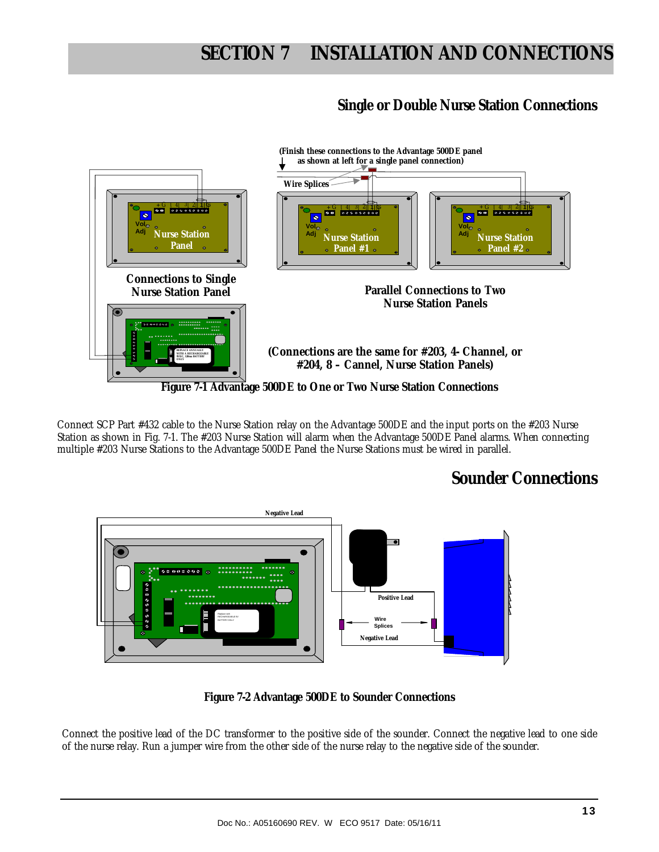#### **Single or Double Nurse Station Connections**



Connect SCP Part #432 cable to the Nurse Station relay on the Advantage 500DE and the input ports on the #203 Nurse Station as shown in Fig. 7-1. The #203 Nurse Station will alarm when the Advantage 500DE Panel alarms. When connecting multiple #203 Nurse Stations to the Advantage 500DE Panel the Nurse Stations must be wired in parallel.

#### **Sounder Connections**



**Figure 7-2 Advantage 500DE to Sounder Connections** 

Connect the positive lead of the DC transformer to the positive side of the sounder. Connect the negative lead to one side of the nurse relay. Run a jumper wire from the other side of the nurse relay to the negative side of the sounder.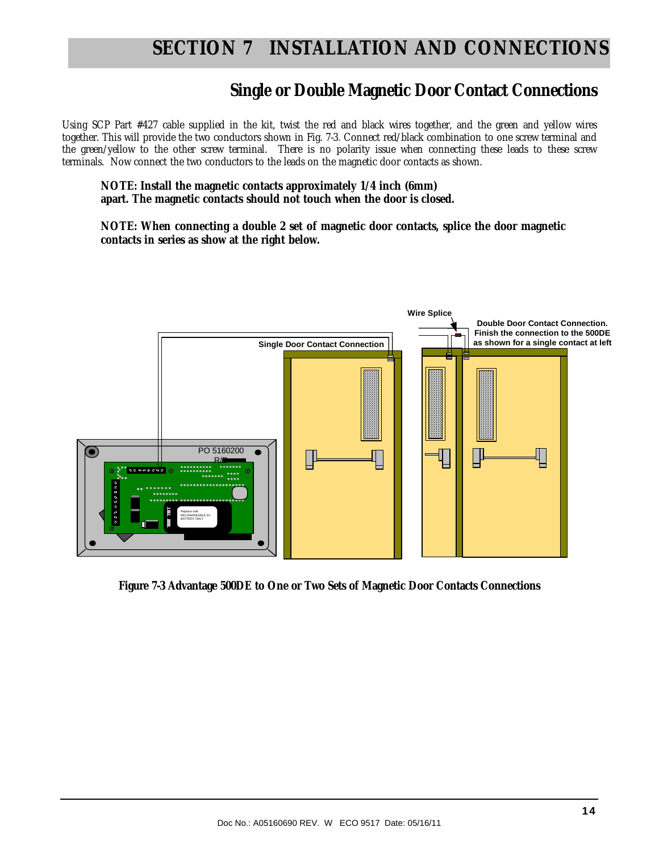#### **Single or Double Magnetic Door Contact Connections**

Using SCP Part #427 cable supplied in the kit, twist the red and black wires together, and the green and yellow wires together. This will provide the two conductors shown in Fig. 7-3. Connect red/black combination to one screw terminal and the green/yellow to the other screw terminal. There is no polarity issue when connecting these leads to these screw terminals. Now connect the two conductors to the leads on the magnetic door contacts as shown.

**NOTE: Install the magnetic contacts approximately 1/4 inch (6mm) apart. The magnetic contacts should not touch when the door is closed.** 

**NOTE: When connecting a double 2 set of magnetic door contacts, splice the door magnetic contacts in series as show at the right below.** 



**Figure 7-3 Advantage 500DE to One or Two Sets of Magnetic Door Contacts Connections**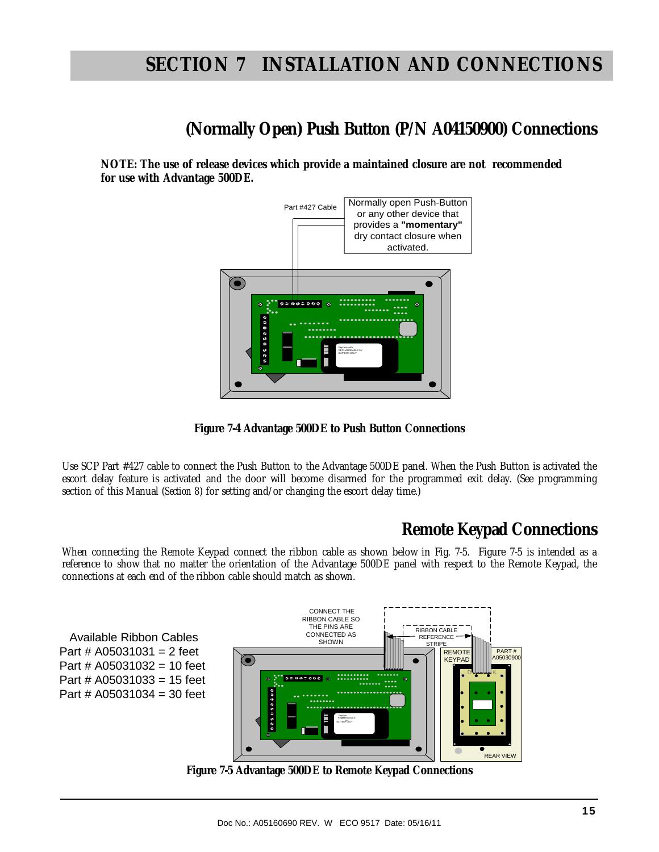## **(Normally Open) Push Button (P/N A04150900) Connections**

**NOTE: The use of release devices which provide a maintained closure are not recommended for use with Advantage 500DE.** 





Use SCP Part #427 cable to connect the Push Button to the Advantage 500DE panel. When the Push Button is activated the escort delay feature is activated and the door will become disarmed for the programmed exit delay. (See programming section of this Manual (*Section 8*) for setting and/or changing the escort delay time.)

#### **Remote Keypad Connections**

When connecting the Remote Keypad connect the ribbon cable as shown below in Fig. 7-5. Figure 7-5 is intended as a reference to show that no matter the orientation of the Advantage 500DE panel with respect to the Remote Keypad, the connections at each end of the ribbon cable should match as shown.

 Available Ribbon Cables Part #  $A05031031 = 2$  feet Part # A05031032 = 10 feet Part # A05031033 = 15 feet Part # A05031034 = 30 feet



**Figure 7-5 Advantage 500DE to Remote Keypad Connections**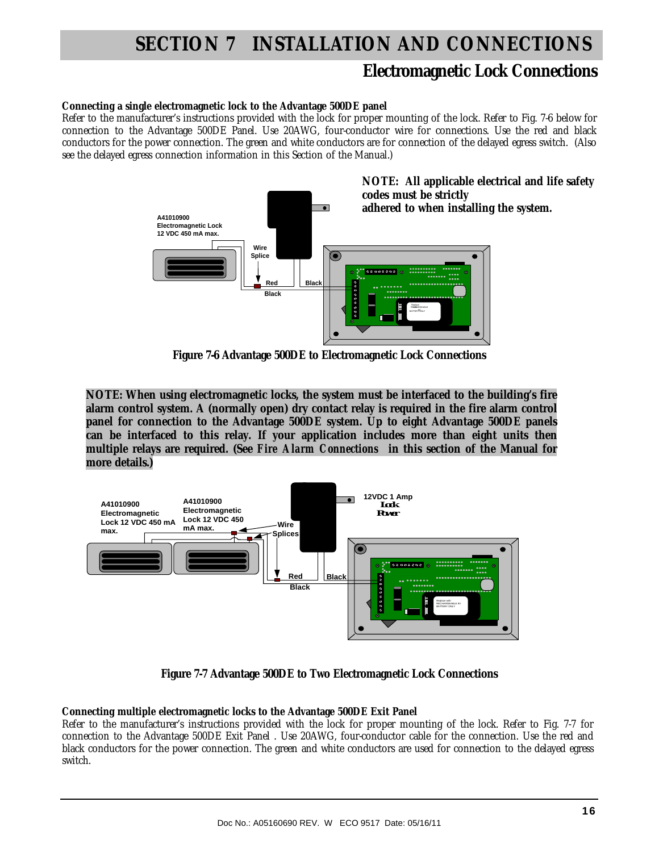#### **Electromagnetic Lock Connections**

#### **Connecting a single electromagnetic lock to the Advantage 500DE panel**

Refer to the manufacturer's instructions provided with the lock for proper mounting of the lock. Refer to Fig. 7-6 below for connection to the Advantage 500DE Panel. Use 20AWG, four-conductor wire for connections. Use the red and black conductors for the power connection. The green and white conductors are for connection of the delayed egress switch. (Also see the delayed egress connection information in this Section of the Manual.)



**Figure 7-6 Advantage 500DE to Electromagnetic Lock Connections** 

**NOTE: When using electromagnetic locks, the system must be interfaced to the building's fire alarm control system. A (normally open) dry contact relay is required in the fire alarm control panel for connection to the Advantage 500DE system. Up to eight Advantage 500DE panels can be interfaced to this relay. If your application includes more than eight units then multiple relays are required. (See** *Fire Alarm Connections* **in this section of the Manual for more details.)** 



**Figure 7-7 Advantage 500DE to Two Electromagnetic Lock Connections** 

#### **Connecting multiple electromagnetic locks to the Advantage 500DE Exit Panel**

Refer to the manufacturer's instructions provided with the lock for proper mounting of the lock. Refer to Fig. 7-7 for connection to the Advantage 500DE Exit Panel . Use 20AWG, four-conductor cable for the connection. Use the red and black conductors for the power connection. The green and white conductors are used for connection to the delayed egress switch.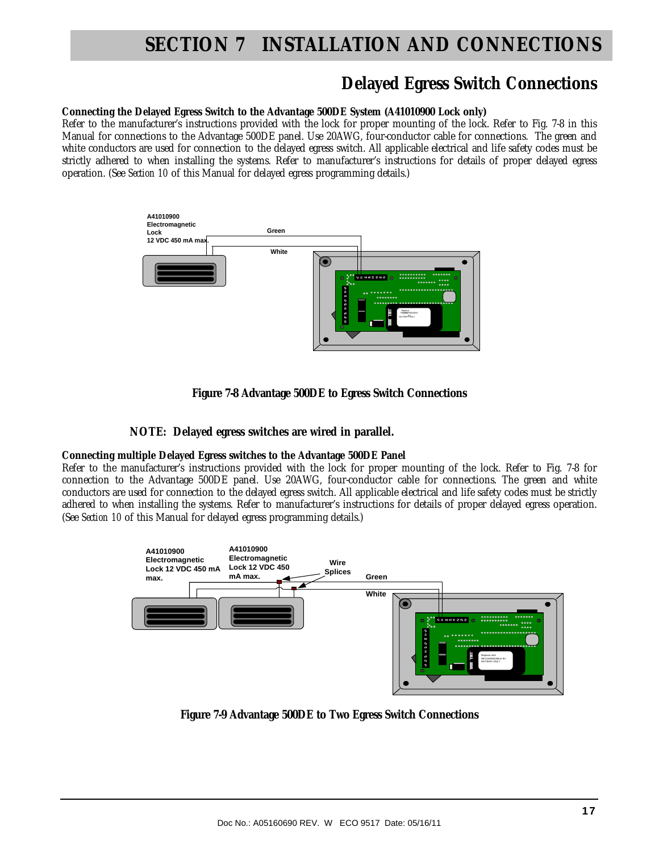#### **Delayed Egress Switch Connections**

#### **Connecting the Delayed Egress Switch to the Advantage 500DE System (A41010900 Lock only)**

Refer to the manufacturer's instructions provided with the lock for proper mounting of the lock. Refer to Fig. 7-8 in this Manual for connections to the Advantage 500DE panel. Use 20AWG, four-conductor cable for connections. The green and white conductors are used for connection to the delayed egress switch. All applicable electrical and life safety codes must be strictly adhered to when installing the systems. Refer to manufacturer's instructions for details of proper delayed egress operation. (See *Section 10* of this Manual for delayed egress programming details.)



**Figure 7-8 Advantage 500DE to Egress Switch Connections** 

#### **NOTE: Delayed egress switches are wired in parallel.**

#### **Connecting multiple Delayed Egress switches to the Advantage 500DE Panel**

Refer to the manufacturer's instructions provided with the lock for proper mounting of the lock. Refer to Fig. 7-8 for connection to the Advantage 500DE panel. Use 20AWG, four-conductor cable for connections. The green and white conductors are used for connection to the delayed egress switch. All applicable electrical and life safety codes must be strictly adhered to when installing the systems. Refer to manufacturer's instructions for details of proper delayed egress operation. (See *Section 10* of this Manual for delayed egress programming details.)



**Figure 7-9 Advantage 500DE to Two Egress Switch Connections**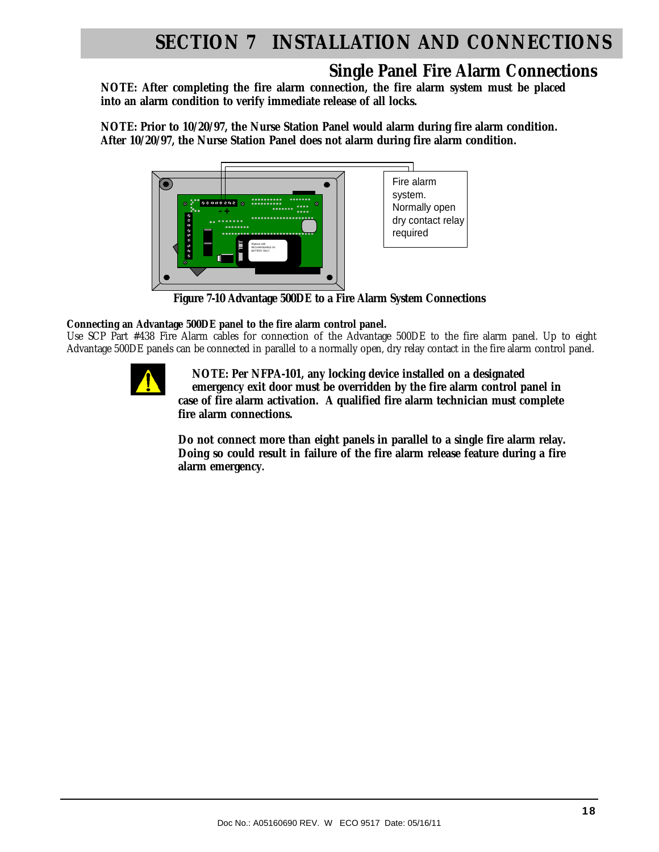#### **Single Panel Fire Alarm Connections**

**NOTE: After completing the fire alarm connection, the fire alarm system must be placed into an alarm condition to verify immediate release of all locks.** 

**NOTE: Prior to 10/20/97, the Nurse Station Panel would alarm during fire alarm condition. After 10/20/97, the Nurse Station Panel does not alarm during fire alarm condition.** 



**Figure 7-10 Advantage 500DE to a Fire Alarm System Connections** 

**Connecting an Advantage 500DE panel to the fire alarm control panel.**

Use SCP Part #438 Fire Alarm cables for connection of the Advantage 500DE to the fire alarm panel. Up to eight Advantage 500DE panels can be connected in parallel to a normally open, dry relay contact in the fire alarm control panel.



 **NOTE: Per NFPA-101, any locking device installed on a designated emergency exit door must be overridden by the fire alarm control panel in case of fire alarm activation. A qualified fire alarm technician must complete fire alarm connections.** 

**Do not connect more than eight panels in parallel to a single fire alarm relay. Doing so could result in failure of the fire alarm release feature during a fire alarm emergency.**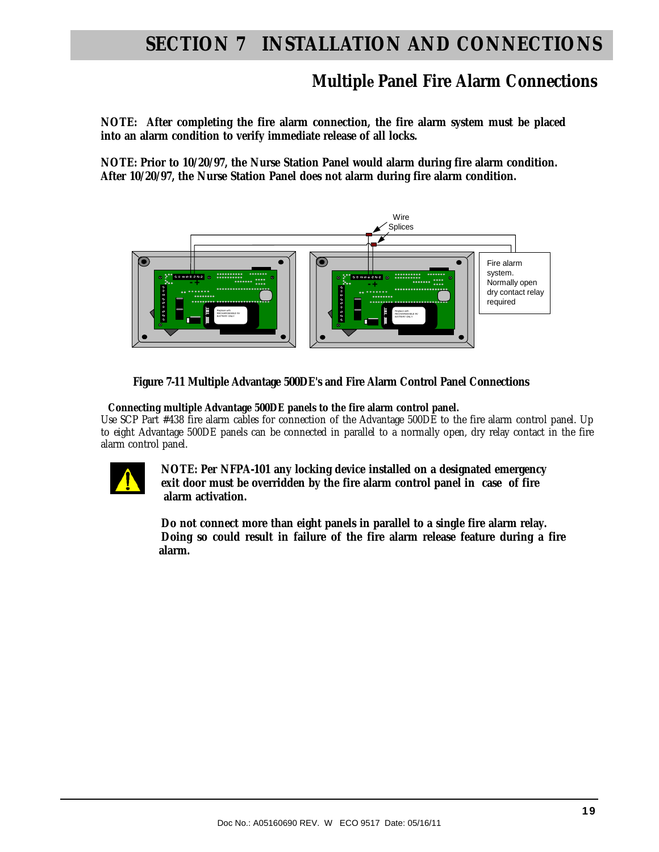#### **Multiple Panel Fire Alarm Connections**

**NOTE: After completing the fire alarm connection, the fire alarm system must be placed into an alarm condition to verify immediate release of all locks.** 

**NOTE: Prior to 10/20/97, the Nurse Station Panel would alarm during fire alarm condition. After 10/20/97, the Nurse Station Panel does not alarm during fire alarm condition.** 



 **Figure 7-11 Multiple Advantage 500DE's and Fire Alarm Control Panel Connections** 

 **Connecting multiple Advantage 500DE panels to the fire alarm control panel.** 

Use SCP Part #438 fire alarm cables for connection of the Advantage 500DE to the fire alarm control panel. Up to eight Advantage 500DE panels can be connected in parallel to a normally open, dry relay contact in the fire alarm control panel.



 **NOTE: Per NFPA-101 any locking device installed on a designated emergency exit door must be overridden by the fire alarm control panel in case of fire alarm activation.** 

 **Do not connect more than eight panels in parallel to a single fire alarm relay. Doing so could result in failure of the fire alarm release feature during a fire alarm.**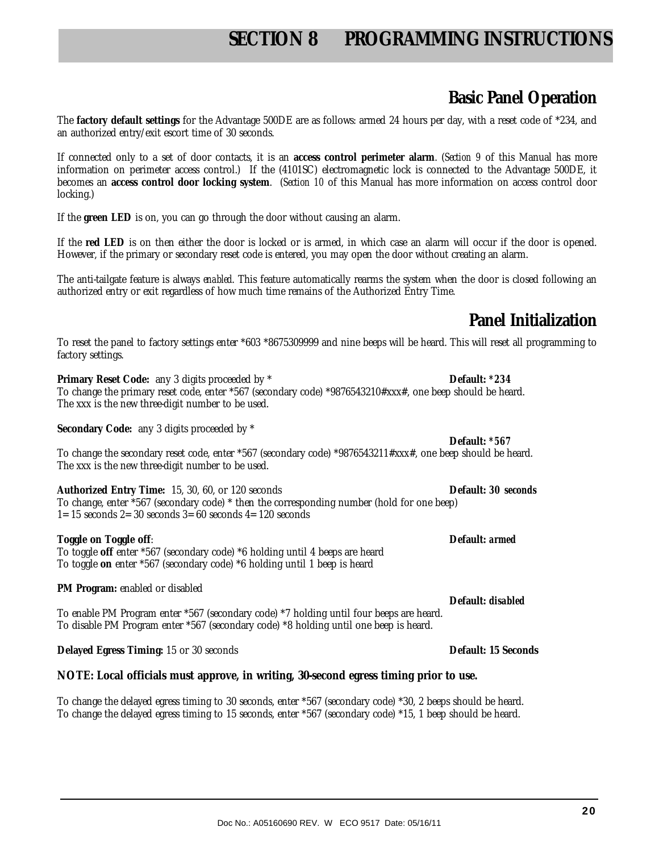## **SECTION 8 PROGRAMMING INSTRUCTIONS**

#### **Basic Panel Operation**

The **factory default settings** for the Advantage 500DE are as follows: armed 24 hours per day, with a reset code of \*234, and an authorized entry/exit escort time of 30 seconds.

If connected only to a set of door contacts, it is an **access control perimeter alarm**. (*Section 9* of this Manual has more information on perimeter access control.) If the (4101SC) electromagnetic lock is connected to the Advantage 500DE, it becomes an **access control door locking system**. (*Section 10* of this Manual has more information on access control door locking.)

If the **green LED** is on, you can go through the door without causing an alarm.

If the **red LED** is on then either the door is locked or is armed, in which case an alarm will occur if the door is opened. However, if the primary or secondary reset code is entered, you may open the door without creating an alarm.

The anti-tailgate feature is always *enabled*. This feature automatically rearms the system when the door is closed following an authorized entry or exit regardless of how much time remains of the Authorized Entry Time.

## **Panel Initialization**

**Default:** *disabled*

To reset the panel to factory settings enter \*603 \*8675309999 and nine beeps will be heard. This will reset all programming to factory settings.

**Primary Reset Code:** any 3 digits proceeded by \* **Default:** *\*234* To change the primary reset code, enter \*567 (secondary code) \*9876543210#xxx#, one beep should be heard. The xxx is the new three-digit number to be used.

**Secondary Code:** any 3 digits proceeded by \*

**Default:** *\*567* To change the secondary reset code, enter \*567 (secondary code) \*9876543211#xxx#, one beep should be heard. The xxx is the new three-digit number to be used.

**Authorized Entry Time:** 15, 30, 60, or 120 seconds **Default:** *30 seconds*  To change, enter \*567 (secondary code) \* then the corresponding number (hold for one beep) 1= 15 seconds 2= 30 seconds 3= 60 seconds 4= 120 seconds

**Toggle on Toggle off**: **Default:** *armed*

To toggle **off** enter \*567 (secondary code) \*6 holding until 4 beeps are heard To toggle **on** enter \*567 (secondary code) \*6 holding until 1 beep is heard

#### **PM Program:** enabled or disabled

To enable PM Program enter \*567 (secondary code) \*7 holding until four beeps are heard. To disable PM Program enter \*567 (secondary code) \*8 holding until one beep is heard.

**Delayed Egress Timing:** 15 or 30 seconds **Default: 15 Seconds Default: 15 Seconds** 

#### **NOTE: Local officials must approve, in writing, 30-second egress timing prior to use.**

To change the delayed egress timing to 30 seconds, enter \*567 (secondary code) \*30, 2 beeps should be heard. To change the delayed egress timing to 15 seconds, enter \*567 (secondary code) \*15, 1 beep should be heard.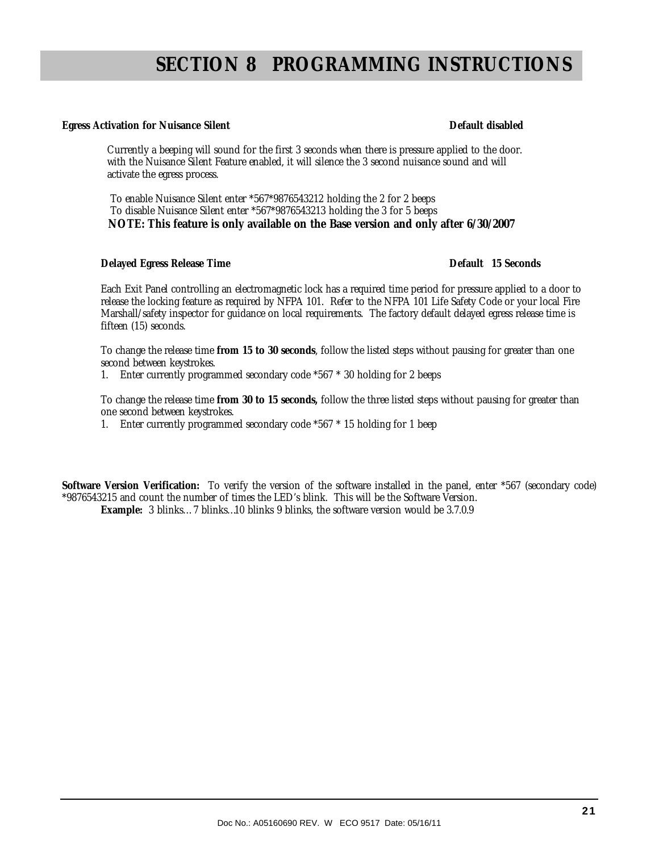## **SECTION 8 PROGRAMMING INSTRUCTIONS**

#### **Egress Activation for Nuisance Silent Default disabled** Default disabled

 Currently a beeping will sound for the first 3 seconds when there is pressure applied to the door. with the Nuisance Silent Feature enabled, it will silence the 3 second nuisance sound and will activate the egress process.

 To enable Nuisance Silent enter \*567\*9876543212 holding the 2 for 2 beeps To disable Nuisance Silent enter \*567\*9876543213 holding the 3 for 5 beeps  **NOTE: This feature is only available on the Base version and only after 6/30/2007** 

#### **Delayed Egress Release Time Default 15 Seconds**

Each Exit Panel controlling an electromagnetic lock has a required time period for pressure applied to a door to release the locking feature as required by NFPA 101. Refer to the NFPA 101 Life Safety Code or your local Fire Marshall/safety inspector for guidance on local requirements. The factory default delayed egress release time is fifteen (15) seconds.

To change the release time **from 15 to 30 seconds**, follow the listed steps without pausing for greater than one second between keystrokes.

1. Enter currently programmed secondary code \*567 \* 30 holding for 2 beeps

To change the release time **from 30 to 15 seconds,** follow the three listed steps without pausing for greater than one second between keystrokes.

1. Enter currently programmed secondary code \*567 \* 15 holding for 1 beep

**Software Version Verification:** To verify the version of the software installed in the panel, enter \*567 (secondary code) \*9876543215 and count the number of times the LED's blink. This will be the Software Version.

**Example:** 3 blinks… 7 blinks…10 blinks 9 blinks, the software version would be 3.7.0.9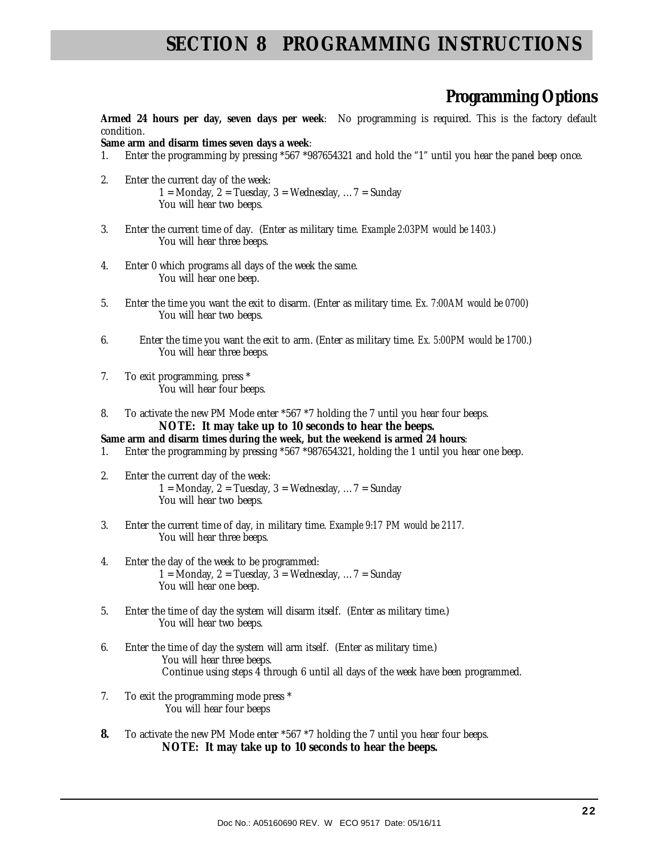## **SECTION 8 PROGRAMMING INSTRUCTIONS**

#### **Programming Options**

**Armed 24 hours per day, seven days per week**: No programming is required. This is the factory default condition.

**Same arm and disarm times seven days a week**:

- 1. Enter the programming by pressing \*567 \*987654321 and hold the "1" until you hear the panel beep once.
- 2. Enter the current day of the week: 1 = Monday, 2 = Tuesday, 3 = Wednesday,  $\ldots$  7 = Sunday You will hear two beeps.
- 3. Enter the current time of day. (Enter as military time. *Example 2:03PM would be 1403.*) You will hear three beeps.
- 4. Enter 0 which programs all days of the week the same. You will hear one beep.
- 5. Enter the time you want the exit to disarm. (Enter as military time. *Ex. 7:00AM would be 0700*) You will hear two beeps.
- 6. Enter the time you want the exit to arm. (Enter as military time. *Ex. 5:00PM would be 1700.*) You will hear three beeps.
- 7. To exit programming, press \* You will hear four beeps.
- 8. To activate the new PM Mode enter \*567 \*7 holding the 7 until you hear four beeps. **NOTE: It may take up to 10 seconds to hear the beeps.**
- **Same arm and disarm times during the week, but the weekend is armed 24 hours**:
- 1. Enter the programming by pressing \*567 \*987654321, holding the 1 until you hear one beep.
- 2. Enter the current day of the week: 1 = Monday, 2 = Tuesday, 3 = Wednesday,  $\ldots$  7 = Sunday You will hear two beeps.
- 3. Enter the current time of day, in military time. *Example 9:17 PM would be 2117.* You will hear three beeps.
- 4. Enter the day of the week to be programmed: 1 = Monday, 2 = Tuesday, 3 = Wednesday, ... 7 = Sunday You will hear one beep.
- 5. Enter the time of day the system will disarm itself. (Enter as military time.) You will hear two beeps.
- 6. Enter the time of day the system will arm itself. (Enter as military time.) You will hear three beeps. Continue using steps 4 through 6 until all days of the week have been programmed.
- 7. To exit the programming mode press \* You will hear four beeps
- **8.** To activate the new PM Mode enter \*567 \*7 holding the 7 until you hear four beeps. **NOTE: It may take up to 10 seconds to hear the beeps.**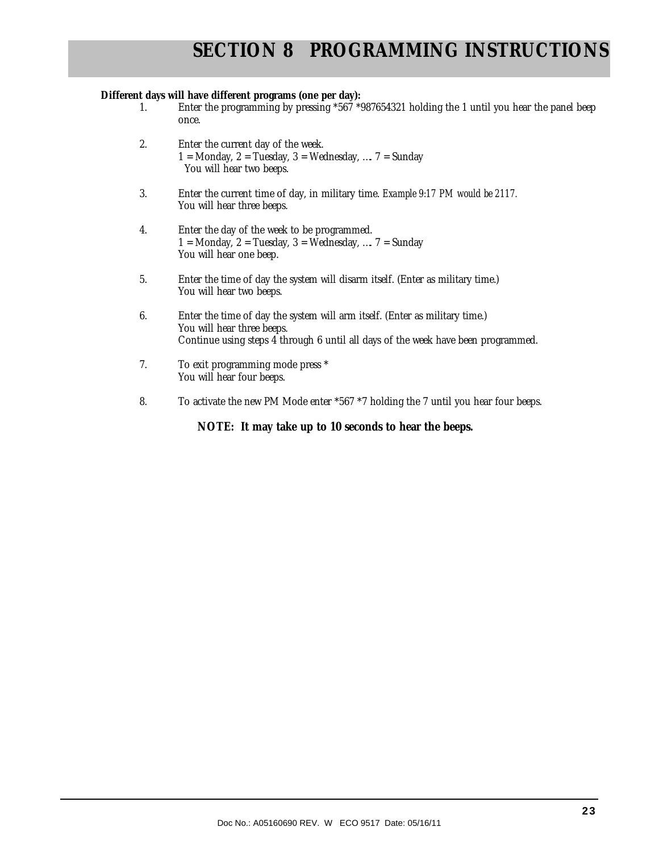#### **Different days will have different programs (one per day):**

- 1. Enter the programming by pressing \*567 \*987654321 holding the 1 until you hear the panel beep once.
- 2. Enter the current day of the week. 1 = Monday, 2 = Tuesday, 3 = Wednesday, ....  $7$  = Sunday You will hear two beeps.
- 3. Enter the current time of day, in military time. *Example 9:17 PM would be 2117.* You will hear three beeps.
- 4. Enter the day of the week to be programmed. 1 = Monday, 2 = Tuesday, 3 = Wednesday, ....  $7$  = Sunday You will hear one beep.
- 5. Enter the time of day the system will disarm itself. (Enter as military time.) You will hear two beeps.
- 6. Enter the time of day the system will arm itself. (Enter as military time.) You will hear three beeps. Continue using steps 4 through 6 until all days of the week have been programmed.
- 7. To exit programming mode press \* You will hear four beeps.
- 8. To activate the new PM Mode enter \*567 \*7 holding the 7 until you hear four beeps.

**NOTE: It may take up to 10 seconds to hear the beeps.**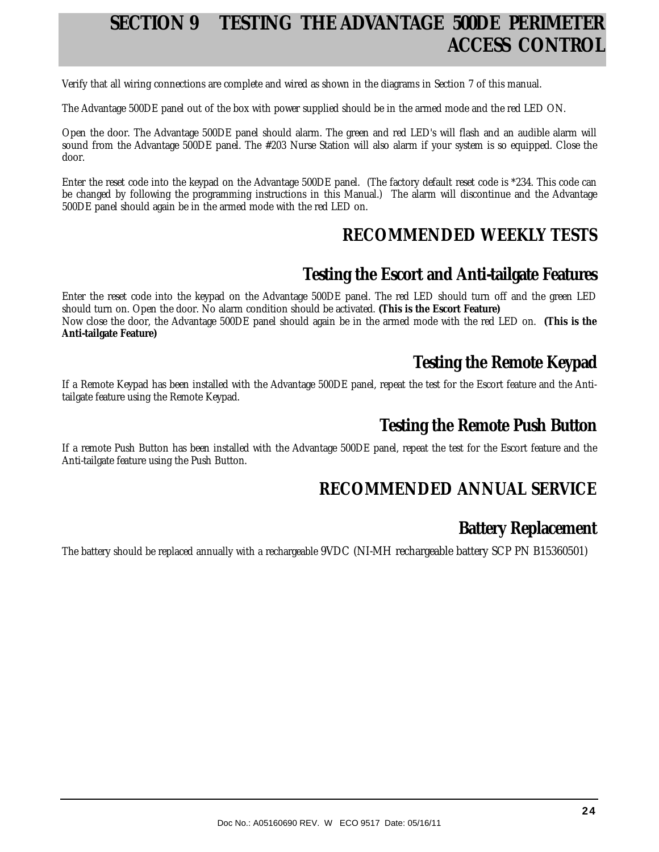## **SECTION 9 TESTING THE ADVANTAGE 500DE PERIMETER ACCESS CONTROL**

Verify that all wiring connections are complete and wired as shown in the diagrams in Section 7 of this manual.

The Advantage 500DE panel out of the box with power supplied should be in the armed mode and the red LED ON.

Open the door. The Advantage 500DE panel should alarm. The green and red LED's will flash and an audible alarm will sound from the Advantage 500DE panel. The #203 Nurse Station will also alarm if your system is so equipped. Close the door.

Enter the reset code into the keypad on the Advantage 500DE panel. (The factory default reset code is \*234. This code can be changed by following the programming instructions in this Manual.) The alarm will discontinue and the Advantage 500DE panel should again be in the armed mode with the red LED on.

## **RECOMMENDED WEEKLY TESTS**

#### **Testing the Escort and Anti-tailgate Features**

Enter the reset code into the keypad on the Advantage 500DE panel. The red LED should turn off and the green LED should turn on. Open the door. No alarm condition should be activated. **(This is the Escort Feature)** Now close the door, the Advantage 500DE panel should again be in the armed mode with the red LED on. **(This is the Anti-tailgate Feature)** 

## **Testing the Remote Keypad**

If a Remote Keypad has been installed with the Advantage 500DE panel, repeat the test for the Escort feature and the Antitailgate feature using the Remote Keypad.

#### **Testing the Remote Push Button**

If a remote Push Button has been installed with the Advantage 500DE panel, repeat the test for the Escort feature and the Anti-tailgate feature using the Push Button.

## **RECOMMENDED ANNUAL SERVICE**

## **Battery Replacement**

The battery should be replaced annually with a rechargeable 9VDC (NI-MH rechargeable battery SCP PN B15360501)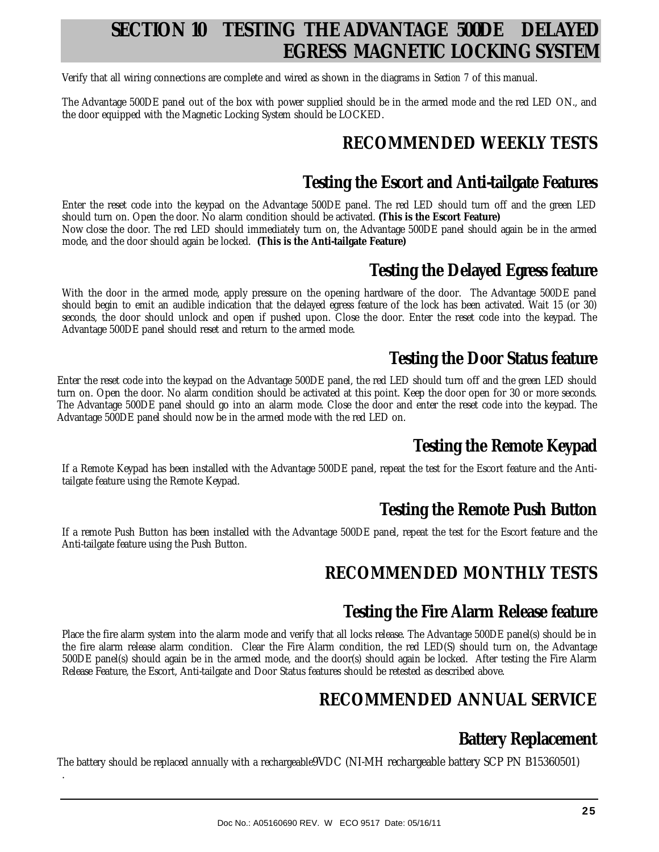## **SECTION 10 TESTING THE ADVANTAGE 500DE DELAYED EGRESS MAGNETIC LOCKING SYSTEM**

Verify that all wiring connections are complete and wired as shown in the diagrams in *Section 7* of this manual.

The Advantage 500DE panel out of the box with power supplied should be in the armed mode and the red LED ON., and the door equipped with the Magnetic Locking System should be LOCKED.

## **RECOMMENDED WEEKLY TESTS**

## **Testing the Escort and Anti-tailgate Features**

Enter the reset code into the keypad on the Advantage 500DE panel. The red LED should turn off and the green LED should turn on. Open the door. No alarm condition should be activated. **(This is the Escort Feature)** Now close the door. The red LED should immediately turn on, the Advantage 500DE panel should again be in the armed mode, and the door should again be locked. **(This is the Anti-tailgate Feature)**

#### **Testing the Delayed Egress feature**

With the door in the armed mode, apply pressure on the opening hardware of the door. The Advantage 500DE panel should begin to emit an audible indication that the delayed egress feature of the lock has been activated. Wait 15 (or 30) seconds, the door should unlock and open if pushed upon. Close the door. Enter the reset code into the keypad. The Advantage 500DE panel should reset and return to the armed mode.

#### **Testing the Door Status feature**

Enter the reset code into the keypad on the Advantage 500DE panel, the red LED should turn off and the green LED should turn on. Open the door. No alarm condition should be activated at this point. Keep the door open for 30 or more seconds. The Advantage 500DE panel should go into an alarm mode. Close the door and enter the reset code into the keypad. The Advantage 500DE panel should now be in the armed mode with the red LED on.

## **Testing the Remote Keypad**

If a Remote Keypad has been installed with the Advantage 500DE panel, repeat the test for the Escort feature and the Antitailgate feature using the Remote Keypad.

## **Testing the Remote Push Button**

If a remote Push Button has been installed with the Advantage 500DE panel, repeat the test for the Escort feature and the Anti-tailgate feature using the Push Button.

## **RECOMMENDED MONTHLY TESTS**

#### **Testing the Fire Alarm Release feature**

Place the fire alarm system into the alarm mode and verify that all locks release. The Advantage 500DE panel(s) should be in the fire alarm release alarm condition. Clear the Fire Alarm condition, the red LED(S) should turn on, the Advantage 500DE panel(s) should again be in the armed mode, and the door(s) should again be locked. After testing the Fire Alarm Release Feature, the Escort, Anti-tailgate and Door Status features should be retested as described above.

## **RECOMMENDED ANNUAL SERVICE**

## **Battery Replacement**

The battery should be replaced annually with a rechargeable9VDC (NI-MH rechargeable battery SCP PN B15360501)

.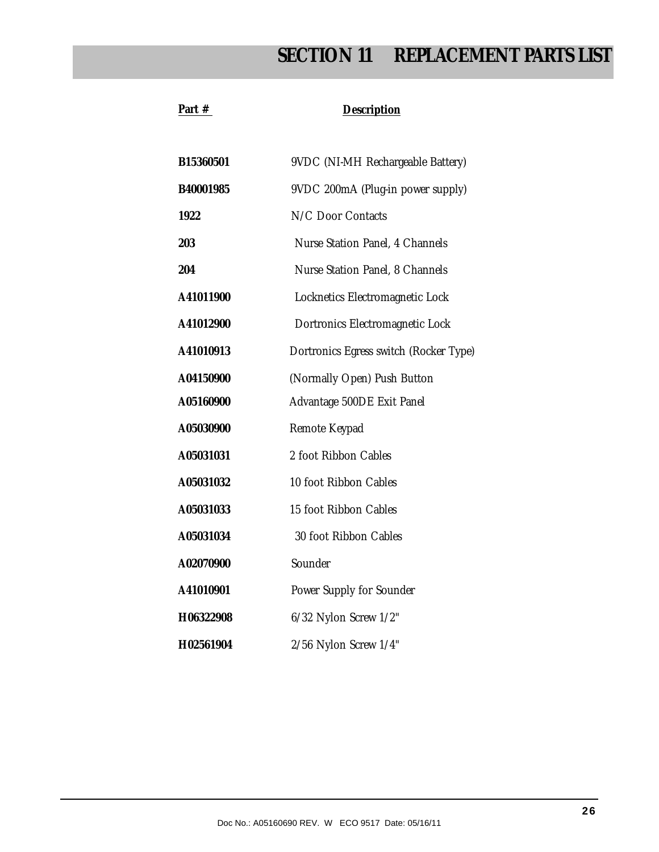## **SECTION 11 REPLACEMENT PARTS LIST**

#### Part # Description

| B15360501 | 9VDC (NI-MH Rechargeable Battery)      |
|-----------|----------------------------------------|
| B40001985 | 9VDC 200mA (Plug-in power supply)      |
| 1922      | N/C Door Contacts                      |
| 203       | Nurse Station Panel, 4 Channels        |
| 204       | Nurse Station Panel, 8 Channels        |
| A41011900 | Locknetics Electromagnetic Lock        |
| A41012900 | Dortronics Electromagnetic Lock        |
| A41010913 | Dortronics Egress switch (Rocker Type) |
| A04150900 | (Normally Open) Push Button            |
| A05160900 | Advantage 500DE Exit Panel             |
| A05030900 | Remote Keypad                          |
| A05031031 | 2 foot Ribbon Cables                   |
| A05031032 | 10 foot Ribbon Cables                  |
| A05031033 | 15 foot Ribbon Cables                  |
| A05031034 | 30 foot Ribbon Cables                  |
| A02070900 | Sounder                                |
| A41010901 | Power Supply for Sounder               |
| H06322908 | 6/32 Nylon Screw 1/2"                  |
| H02561904 | 2/56 Nylon Screw 1/4"                  |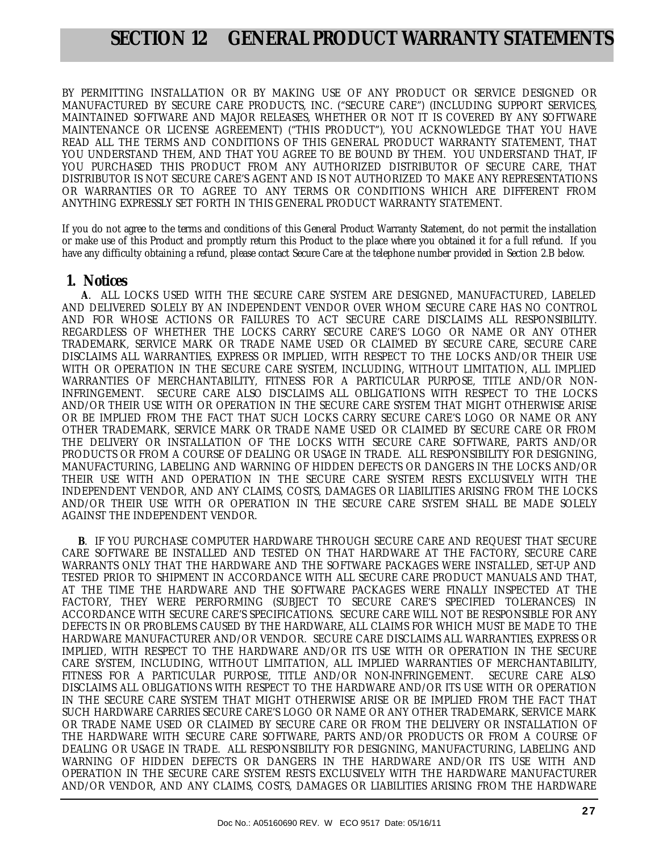## **SECTION 12 GENERAL PRODUCT WARRANTY STATEMENTS**

BY PERMITTING INSTALLATION OR BY MAKING USE OF ANY PRODUCT OR SERVICE DESIGNED OR MANUFACTURED BY SECURE CARE PRODUCTS, INC. ("SECURE CARE") (INCLUDING SUPPORT SERVICES, MAINTAINED SOFTWARE AND MAJOR RELEASES, WHETHER OR NOT IT IS COVERED BY ANY SOFTWARE MAINTENANCE OR LICENSE AGREEMENT) ("THIS PRODUCT"), YOU ACKNOWLEDGE THAT YOU HAVE READ ALL THE TERMS AND CONDITIONS OF THIS GENERAL PRODUCT WARRANTY STATEMENT, THAT YOU UNDERSTAND THEM, AND THAT YOU AGREE TO BE BOUND BY THEM. YOU UNDERSTAND THAT, IF YOU PURCHASED THIS PRODUCT FROM ANY AUTHORIZED DISTRIBUTOR OF SECURE CARE, THAT DISTRIBUTOR IS NOT SECURE CARE'S AGENT AND IS NOT AUTHORIZED TO MAKE ANY REPRESENTATIONS OR WARRANTIES OR TO AGREE TO ANY TERMS OR CONDITIONS WHICH ARE DIFFERENT FROM ANYTHING EXPRESSLY SET FORTH IN THIS GENERAL PRODUCT WARRANTY STATEMENT.

If you do not agree to the terms and conditions of this General Product Warranty Statement, do not permit the installation or make use of this Product and promptly return this Product to the place where you obtained it for a full refund. If you have any difficulty obtaining a refund, please contact Secure Care at the telephone number provided in Section 2.B below.

#### **1. Notices**

 **A**. ALL LOCKS USED WITH THE SECURE CARE SYSTEM ARE DESIGNED, MANUFACTURED, LABELED AND DELIVERED SOLELY BY AN INDEPENDENT VENDOR OVER WHOM SECURE CARE HAS NO CONTROL AND FOR WHOSE ACTIONS OR FAILURES TO ACT SECURE CARE DISCLAIMS ALL RESPONSIBILITY. REGARDLESS OF WHETHER THE LOCKS CARRY SECURE CARE'S LOGO OR NAME OR ANY OTHER TRADEMARK, SERVICE MARK OR TRADE NAME USED OR CLAIMED BY SECURE CARE, SECURE CARE DISCLAIMS ALL WARRANTIES, EXPRESS OR IMPLIED, WITH RESPECT TO THE LOCKS AND/OR THEIR USE WITH OR OPERATION IN THE SECURE CARE SYSTEM, INCLUDING, WITHOUT LIMITATION, ALL IMPLIED WARRANTIES OF MERCHANTABILITY, FITNESS FOR A PARTICULAR PURPOSE, TITLE AND/OR NON-INFRINGEMENT. SECURE CARE ALSO DISCLAIMS ALL OBLIGATIONS WITH RESPECT TO THE LOCKS AND/OR THEIR USE WITH OR OPERATION IN THE SECURE CARE SYSTEM THAT MIGHT OTHERWISE ARISE OR BE IMPLIED FROM THE FACT THAT SUCH LOCKS CARRY SECURE CARE'S LOGO OR NAME OR ANY OTHER TRADEMARK, SERVICE MARK OR TRADE NAME USED OR CLAIMED BY SECURE CARE OR FROM THE DELIVERY OR INSTALLATION OF THE LOCKS WITH SECURE CARE SOFTWARE, PARTS AND/OR PRODUCTS OR FROM A COURSE OF DEALING OR USAGE IN TRADE. ALL RESPONSIBILITY FOR DESIGNING, MANUFACTURING, LABELING AND WARNING OF HIDDEN DEFECTS OR DANGERS IN THE LOCKS AND/OR THEIR USE WITH AND OPERATION IN THE SECURE CARE SYSTEM RESTS EXCLUSIVELY WITH THE INDEPENDENT VENDOR, AND ANY CLAIMS, COSTS, DAMAGES OR LIABILITIES ARISING FROM THE LOCKS AND/OR THEIR USE WITH OR OPERATION IN THE SECURE CARE SYSTEM SHALL BE MADE SOLELY AGAINST THE INDEPENDENT VENDOR.

 **B**. IF YOU PURCHASE COMPUTER HARDWARE THROUGH SECURE CARE AND REQUEST THAT SECURE CARE SOFTWARE BE INSTALLED AND TESTED ON THAT HARDWARE AT THE FACTORY, SECURE CARE WARRANTS ONLY THAT THE HARDWARE AND THE SOFTWARE PACKAGES WERE INSTALLED, SET-UP AND TESTED PRIOR TO SHIPMENT IN ACCORDANCE WITH ALL SECURE CARE PRODUCT MANUALS AND THAT, AT THE TIME THE HARDWARE AND THE SOFTWARE PACKAGES WERE FINALLY INSPECTED AT THE FACTORY, THEY WERE PERFORMING (SUBJECT TO SECURE CARE'S SPECIFIED TOLERANCES) IN ACCORDANCE WITH SECURE CARE'S SPECIFICATIONS. SECURE CARE WILL NOT BE RESPONSIBLE FOR ANY DEFECTS IN OR PROBLEMS CAUSED BY THE HARDWARE, ALL CLAIMS FOR WHICH MUST BE MADE TO THE HARDWARE MANUFACTURER AND/OR VENDOR. SECURE CARE DISCLAIMS ALL WARRANTIES, EXPRESS OR IMPLIED, WITH RESPECT TO THE HARDWARE AND/OR ITS USE WITH OR OPERATION IN THE SECURE CARE SYSTEM, INCLUDING, WITHOUT LIMITATION, ALL IMPLIED WARRANTIES OF MERCHANTABILITY, FITNESS FOR A PARTICULAR PURPOSE, TITLE AND/OR NON-INFRINGEMENT. SECURE CARE ALSO DISCLAIMS ALL OBLIGATIONS WITH RESPECT TO THE HARDWARE AND/OR ITS USE WITH OR OPERATION IN THE SECURE CARE SYSTEM THAT MIGHT OTHERWISE ARISE OR BE IMPLIED FROM THE FACT THAT SUCH HARDWARE CARRIES SECURE CARE'S LOGO OR NAME OR ANY OTHER TRADEMARK, SERVICE MARK OR TRADE NAME USED OR CLAIMED BY SECURE CARE OR FROM THE DELIVERY OR INSTALLATION OF THE HARDWARE WITH SECURE CARE SOFTWARE, PARTS AND/OR PRODUCTS OR FROM A COURSE OF DEALING OR USAGE IN TRADE. ALL RESPONSIBILITY FOR DESIGNING, MANUFACTURING, LABELING AND WARNING OF HIDDEN DEFECTS OR DANGERS IN THE HARDWARE AND/OR ITS USE WITH AND OPERATION IN THE SECURE CARE SYSTEM RESTS EXCLUSIVELY WITH THE HARDWARE MANUFACTURER AND/OR VENDOR, AND ANY CLAIMS, COSTS, DAMAGES OR LIABILITIES ARISING FROM THE HARDWARE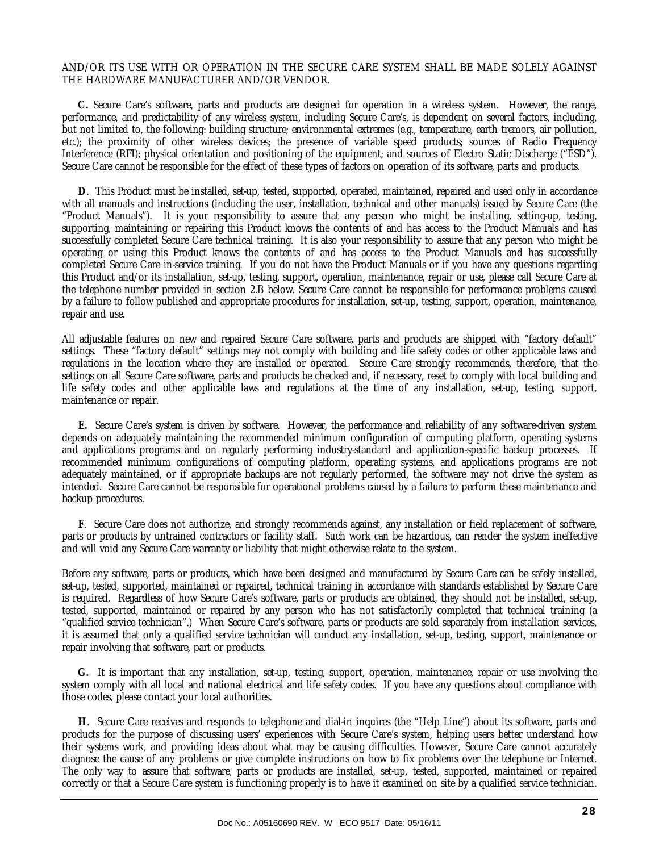#### AND/OR ITS USE WITH OR OPERATION IN THE SECURE CARE SYSTEM SHALL BE MADE SOLELY AGAINST THE HARDWARE MANUFACTURER AND/OR VENDOR.

 **C.** Secure Care's software, parts and products are designed for operation in a wireless system. However, the range, performance, and predictability of any wireless system, including Secure Care's, is dependent on several factors, including, but not limited to, the following: building structure; environmental extremes (e.g., temperature, earth tremors, air pollution, etc.); the proximity of other wireless devices; the presence of variable speed products; sources of Radio Frequency Interference (RFI); physical orientation and positioning of the equipment; and sources of Electro Static Discharge ("ESD"). Secure Care cannot be responsible for the effect of these types of factors on operation of its software, parts and products.

 **D**. This Product must be installed, set-up, tested, supported, operated, maintained, repaired and used only in accordance with all manuals and instructions (including the user, installation, technical and other manuals) issued by Secure Care (the "Product Manuals"). It is your responsibility to assure that any person who might be installing, setting-up, testing, supporting, maintaining or repairing this Product knows the contents of and has access to the Product Manuals and has successfully completed Secure Care technical training. It is also your responsibility to assure that any person who might be operating or using this Product knows the contents of and has access to the Product Manuals and has successfully completed Secure Care in-service training. If you do not have the Product Manuals or if you have any questions regarding this Product and/or its installation, set-up, testing, support, operation, maintenance, repair or use, please call Secure Care at the telephone number provided in section 2.B below. Secure Care cannot be responsible for performance problems caused by a failure to follow published and appropriate procedures for installation, set-up, testing, support, operation, maintenance, repair and use.

All adjustable features on new and repaired Secure Care software, parts and products are shipped with "factory default" settings. These "factory default" settings may not comply with building and life safety codes or other applicable laws and regulations in the location where they are installed or operated. Secure Care strongly recommends, therefore, that the settings on all Secure Care software, parts and products be checked and, if necessary, reset to comply with local building and life safety codes and other applicable laws and regulations at the time of any installation, set-up, testing, support, maintenance or repair.

 **E.** Secure Care's system is driven by software. However, the performance and reliability of any software-driven system depends on adequately maintaining the recommended minimum configuration of computing platform, operating systems and applications programs and on regularly performing industry-standard and application-specific backup processes. If recommended minimum configurations of computing platform, operating systems, and applications programs are not adequately maintained, or if appropriate backups are not regularly performed, the software may not drive the system as intended. Secure Care cannot be responsible for operational problems caused by a failure to perform these maintenance and backup procedures.

 **F**. Secure Care does not authorize, and strongly recommends against, any installation or field replacement of software, parts or products by untrained contractors or facility staff. Such work can be hazardous, can render the system ineffective and will void any Secure Care warranty or liability that might otherwise relate to the system.

Before any software, parts or products, which have been designed and manufactured by Secure Care can be safely installed, set-up, tested, supported, maintained or repaired, technical training in accordance with standards established by Secure Care is required. Regardless of how Secure Care's software, parts or products are obtained, they should not be installed, set-up, tested, supported, maintained or repaired by any person who has not satisfactorily completed that technical training (a "qualified service technician".) When Secure Care's software, parts or products are sold separately from installation services, it is assumed that only a qualified service technician will conduct any installation, set-up, testing, support, maintenance or repair involving that software, part or products.

 **G.** It is important that any installation, set-up, testing, support, operation, maintenance, repair or use involving the system comply with all local and national electrical and life safety codes. If you have any questions about compliance with those codes, please contact your local authorities.

 **H**. Secure Care receives and responds to telephone and dial-in inquires (the "Help Line") about its software, parts and products for the purpose of discussing users' experiences with Secure Care's system, helping users better understand how their systems work, and providing ideas about what may be causing difficulties. However, Secure Care cannot accurately diagnose the cause of any problems or give complete instructions on how to fix problems over the telephone or Internet. The only way to assure that software, parts or products are installed, set-up, tested, supported, maintained or repaired correctly or that a Secure Care system is functioning properly is to have it examined on site by a qualified service technician.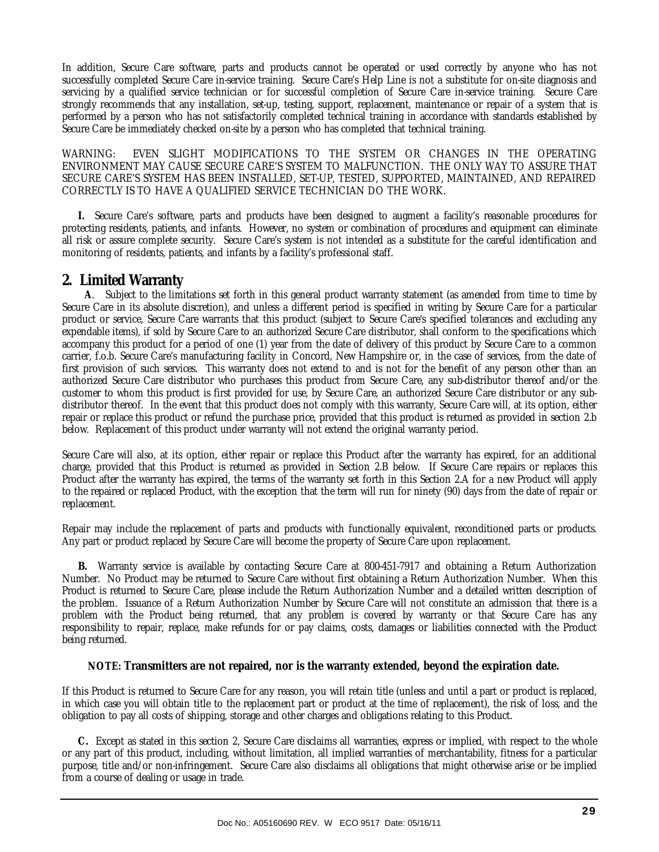In addition, Secure Care software, parts and products cannot be operated or used correctly by anyone who has not successfully completed Secure Care in-service training. Secure Care's Help Line is not a substitute for on-site diagnosis and servicing by a qualified service technician or for successful completion of Secure Care in-service training. Secure Care strongly recommends that any installation, set-up, testing, support, replacement, maintenance or repair of a system that is performed by a person who has not satisfactorily completed technical training in accordance with standards established by Secure Care be immediately checked on-site by a person who has completed that technical training.

WARNING: EVEN SLIGHT MODIFICATIONS TO THE SYSTEM OR CHANGES IN THE OPERATING ENVIRONMENT MAY CAUSE SECURE CARE'S SYSTEM TO MALFUNCTION. THE ONLY WAY TO ASSURE THAT SECURE CARE'S SYSTEM HAS BEEN INSTALLED, SET-UP, TESTED, SUPPORTED, MAINTAINED, AND REPAIRED CORRECTLY IS TO HAVE A QUALIFIED SERVICE TECHNICIAN DO THE WORK.

 **I.** Secure Care's software, parts and products have been designed to augment a facility's reasonable procedures for protecting residents, patients, and infants. However, no system or combination of procedures and equipment can eliminate all risk or assure complete security. Secure Care's system is not intended as a substitute for the careful identification and monitoring of residents, patients, and infants by a facility's professional staff.

#### **2. Limited Warranty**

 **A**. Subject to the limitations set forth in this general product warranty statement (as amended from time to time by Secure Care in its absolute discretion), and unless a different period is specified in writing by Secure Care for a particular product or service, Secure Care warrants that this product (subject to Secure Care's specified tolerances and excluding any expendable items), if sold by Secure Care to an authorized Secure Care distributor, shall conform to the specifications which accompany this product for a period of one (1) year from the date of delivery of this product by Secure Care to a common carrier, f.o.b. Secure Care's manufacturing facility in Concord, New Hampshire or, in the case of services, from the date of first provision of such services. This warranty does not extend to and is not for the benefit of any person other than an authorized Secure Care distributor who purchases this product from Secure Care, any sub-distributor thereof and/or the customer to whom this product is first provided for use, by Secure Care, an authorized Secure Care distributor or any subdistributor thereof. In the event that this product does not comply with this warranty, Secure Care will, at its option, either repair or replace this product or refund the purchase price, provided that this product is returned as provided in section 2.b below. Replacement of this product under warranty will not extend the original warranty period.

Secure Care will also, at its option, either repair or replace this Product after the warranty has expired, for an additional charge, provided that this Product is returned as provided in Section 2.B below. If Secure Care repairs or replaces this Product after the warranty has expired, the terms of the warranty set forth in this Section 2.A for a new Product will apply to the repaired or replaced Product, with the exception that the term will run for ninety (90) days from the date of repair or replacement.

Repair may include the replacement of parts and products with functionally equivalent, reconditioned parts or products. Any part or product replaced by Secure Care will become the property of Secure Care upon replacement.

 **B.** Warranty service is available by contacting Secure Care at 800-451-7917 and obtaining a Return Authorization Number. No Product may be returned to Secure Care without first obtaining a Return Authorization Number. When this Product is returned to Secure Care, please include the Return Authorization Number and a detailed written description of the problem. Issuance of a Return Authorization Number by Secure Care will not constitute an admission that there is a problem with the Product being returned, that any problem is covered by warranty or that Secure Care has any responsibility to repair, replace, make refunds for or pay claims, costs, damages or liabilities connected with the Product being returned.

#### **NOTE: Transmitters are not repaired, nor is the warranty extended, beyond the expiration date.**

If this Product is returned to Secure Care for any reason, you will retain title (unless and until a part or product is replaced, in which case you will obtain title to the replacement part or product at the time of replacement), the risk of loss, and the obligation to pay all costs of shipping, storage and other charges and obligations relating to this Product.

 **C.** Except as stated in this section 2, Secure Care disclaims all warranties, express or implied, with respect to the whole or any part of this product, including, without limitation, all implied warranties of merchantability, fitness for a particular purpose, title and/or non-infringement. Secure Care also disclaims all obligations that might otherwise arise or be implied from a course of dealing or usage in trade.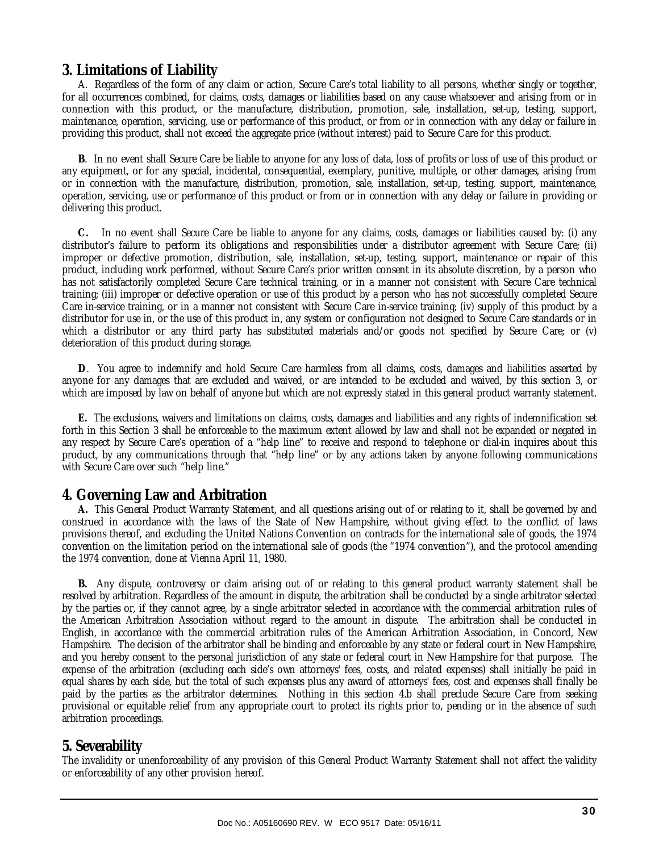#### **3. Limitations of Liability**

 A. Regardless of the form of any claim or action, Secure Care's total liability to all persons, whether singly or together, for all occurrences combined, for claims, costs, damages or liabilities based on any cause whatsoever and arising from or in connection with this product, or the manufacture, distribution, promotion, sale, installation, set-up, testing, support, maintenance, operation, servicing, use or performance of this product, or from or in connection with any delay or failure in providing this product, shall not exceed the aggregate price (without interest) paid to Secure Care for this product.

 **B**. In no event shall Secure Care be liable to anyone for any loss of data, loss of profits or loss of use of this product or any equipment, or for any special, incidental, consequential, exemplary, punitive, multiple, or other damages, arising from or in connection with the manufacture, distribution, promotion, sale, installation, set-up, testing, support, maintenance, operation, servicing, use or performance of this product or from or in connection with any delay or failure in providing or delivering this product.

 **C.** In no event shall Secure Care be liable to anyone for any claims, costs, damages or liabilities caused by: (i) any distributor's failure to perform its obligations and responsibilities under a distributor agreement with Secure Care; (ii) improper or defective promotion, distribution, sale, installation, set-up, testing, support, maintenance or repair of this product, including work performed, without Secure Care's prior written consent in its absolute discretion, by a person who has not satisfactorily completed Secure Care technical training, or in a manner not consistent with Secure Care technical training; (iii) improper or defective operation or use of this product by a person who has not successfully completed Secure Care in-service training, or in a manner not consistent with Secure Care in-service training; (iv) supply of this product by a distributor for use in, or the use of this product in, any system or configuration not designed to Secure Care standards or in which a distributor or any third party has substituted materials and/or goods not specified by Secure Care; or (v) deterioration of this product during storage.

 **D**. You agree to indemnify and hold Secure Care harmless from all claims, costs, damages and liabilities asserted by anyone for any damages that are excluded and waived, or are intended to be excluded and waived, by this section 3, or which are imposed by law on behalf of anyone but which are not expressly stated in this general product warranty statement.

 **E.** The exclusions, waivers and limitations on claims, costs, damages and liabilities and any rights of indemnification set forth in this Section 3 shall be enforceable to the maximum extent allowed by law and shall not be expanded or negated in any respect by Secure Care's operation of a "help line" to receive and respond to telephone or dial-in inquires about this product, by any communications through that "help line" or by any actions taken by anyone following communications with Secure Care over such "help line."

#### **4. Governing Law and Arbitration**

 **A.** This General Product Warranty Statement, and all questions arising out of or relating to it, shall be governed by and construed in accordance with the laws of the State of New Hampshire, without giving effect to the conflict of laws provisions thereof, and excluding the United Nations Convention on contracts for the international sale of goods, the 1974 convention on the limitation period on the international sale of goods (the "1974 convention"), and the protocol amending the 1974 convention, done at Vienna April 11, 1980.

 **B.** Any dispute, controversy or claim arising out of or relating to this general product warranty statement shall be resolved by arbitration. Regardless of the amount in dispute, the arbitration shall be conducted by a single arbitrator selected by the parties or, if they cannot agree, by a single arbitrator selected in accordance with the commercial arbitration rules of the American Arbitration Association without regard to the amount in dispute. The arbitration shall be conducted in English, in accordance with the commercial arbitration rules of the American Arbitration Association, in Concord, New Hampshire. The decision of the arbitrator shall be binding and enforceable by any state or federal court in New Hampshire, and you hereby consent to the personal jurisdiction of any state or federal court in New Hampshire for that purpose. The expense of the arbitration (excluding each side's own attorneys' fees, costs, and related expenses) shall initially be paid in equal shares by each side, but the total of such expenses plus any award of attorneys' fees, cost and expenses shall finally be paid by the parties as the arbitrator determines. Nothing in this section 4.b shall preclude Secure Care from seeking provisional or equitable relief from any appropriate court to protect its rights prior to, pending or in the absence of such arbitration proceedings.

#### **5. Severability**

The invalidity or unenforceability of any provision of this General Product Warranty Statement shall not affect the validity or enforceability of any other provision hereof.